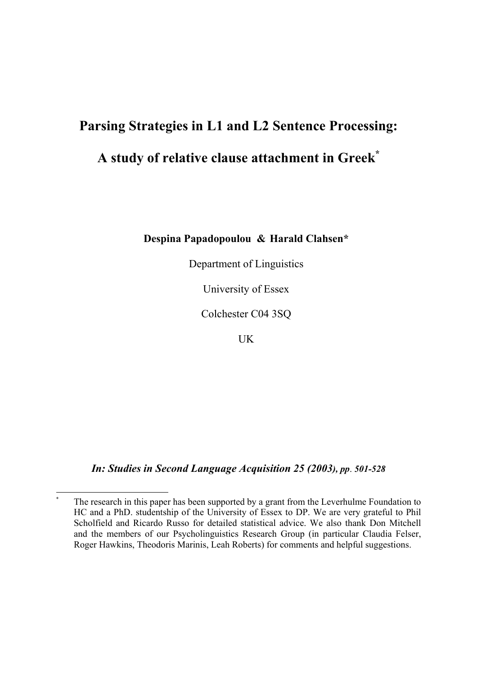# **Parsing Strategies in L1 and L2 Sentence Processing:**

# **A study of relative clause attachment in Greek\***

**Despina Papadopoulou & Harald Clahsen\*** 

Department of Linguistics

University of Essex

Colchester C04 3SQ

UK

*In: Studies in Second Language Acquisition 25 (2003), pp*. *501-528*

1

The research in this paper has been supported by a grant from the Leverhulme Foundation to HC and a PhD. studentship of the University of Essex to DP. We are very grateful to Phil Scholfield and Ricardo Russo for detailed statistical advice. We also thank Don Mitchell and the members of our Psycholinguistics Research Group (in particular Claudia Felser, Roger Hawkins, Theodoris Marinis, Leah Roberts) for comments and helpful suggestions.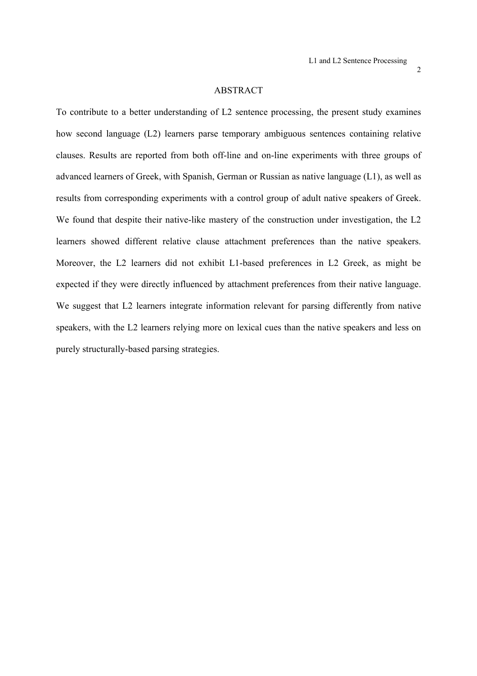#### ABSTRACT

To contribute to a better understanding of L2 sentence processing, the present study examines how second language (L2) learners parse temporary ambiguous sentences containing relative clauses. Results are reported from both off-line and on-line experiments with three groups of advanced learners of Greek, with Spanish, German or Russian as native language (L1), as well as results from corresponding experiments with a control group of adult native speakers of Greek. We found that despite their native-like mastery of the construction under investigation, the L2 learners showed different relative clause attachment preferences than the native speakers. Moreover, the L2 learners did not exhibit L1-based preferences in L2 Greek, as might be expected if they were directly influenced by attachment preferences from their native language. We suggest that L2 learners integrate information relevant for parsing differently from native speakers, with the L2 learners relying more on lexical cues than the native speakers and less on purely structurally-based parsing strategies.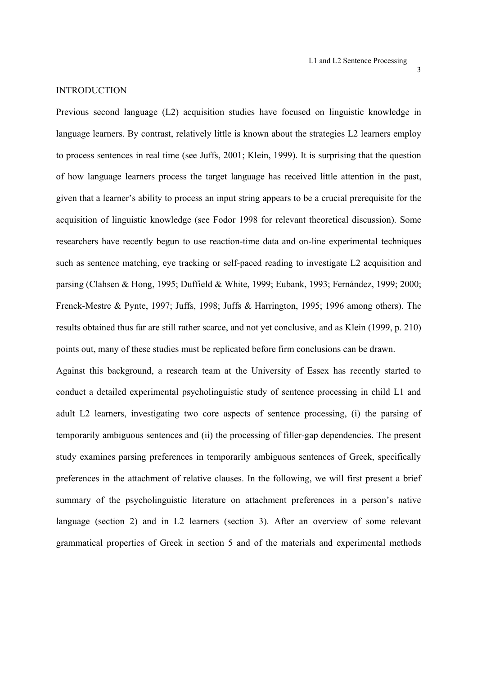#### **INTRODUCTION**

Previous second language (L2) acquisition studies have focused on linguistic knowledge in language learners. By contrast, relatively little is known about the strategies L2 learners employ to process sentences in real time (see Juffs, 2001; Klein, 1999). It is surprising that the question of how language learners process the target language has received little attention in the past, given that a learner's ability to process an input string appears to be a crucial prerequisite for the acquisition of linguistic knowledge (see Fodor 1998 for relevant theoretical discussion). Some researchers have recently begun to use reaction-time data and on-line experimental techniques such as sentence matching, eye tracking or self-paced reading to investigate L2 acquisition and parsing (Clahsen & Hong, 1995; Duffield & White, 1999; Eubank, 1993; Fernández, 1999; 2000; Frenck-Mestre & Pynte, 1997; Juffs, 1998; Juffs & Harrington, 1995; 1996 among others). The results obtained thus far are still rather scarce, and not yet conclusive, and as Klein (1999, p. 210) points out, many of these studies must be replicated before firm conclusions can be drawn.

Against this background, a research team at the University of Essex has recently started to conduct a detailed experimental psycholinguistic study of sentence processing in child L1 and adult L2 learners, investigating two core aspects of sentence processing, (i) the parsing of temporarily ambiguous sentences and (ii) the processing of filler-gap dependencies. The present study examines parsing preferences in temporarily ambiguous sentences of Greek, specifically preferences in the attachment of relative clauses. In the following, we will first present a brief summary of the psycholinguistic literature on attachment preferences in a person's native language (section 2) and in L2 learners (section 3). After an overview of some relevant grammatical properties of Greek in section 5 and of the materials and experimental methods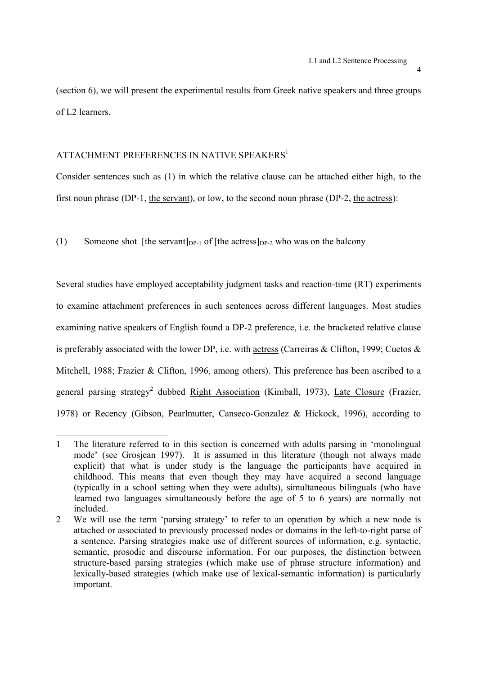(section 6), we will present the experimental results from Greek native speakers and three groups of L2 learners.

# ATTACHMENT PREFERENCES IN NATIVE SPEAKERS<sup>1</sup>

1

Consider sentences such as (1) in which the relative clause can be attached either high, to the first noun phrase (DP-1, the servant), or low, to the second noun phrase (DP-2, the actress):

(1) Someone shot [the servant] $_{DP-1}$  of [the actress] $_{DP-2}$  who was on the balcony

Several studies have employed acceptability judgment tasks and reaction-time (RT) experiments to examine attachment preferences in such sentences across different languages. Most studies examining native speakers of English found a DP-2 preference, i.e. the bracketed relative clause is preferably associated with the lower DP, i.e. with actress (Carreiras & Clifton, 1999; Cuetos & Mitchell, 1988; Frazier & Clifton, 1996, among others). This preference has been ascribed to a general parsing strategy<sup>2</sup> dubbed Right Association (Kimball, 1973), Late Closure (Frazier, 1978) or Recency (Gibson, Pearlmutter, Canseco-Gonzalez & Hickock, 1996), according to

<sup>1</sup> The literature referred to in this section is concerned with adults parsing in 'monolingual mode' (see Grosjean 1997). It is assumed in this literature (though not always made explicit) that what is under study is the language the participants have acquired in childhood. This means that even though they may have acquired a second language (typically in a school setting when they were adults), simultaneous bilinguals (who have learned two languages simultaneously before the age of 5 to 6 years) are normally not included.

<sup>2</sup> We will use the term 'parsing strategy' to refer to an operation by which a new node is attached or associated to previously processed nodes or domains in the left-to-right parse of a sentence. Parsing strategies make use of different sources of information, e.g. syntactic, semantic, prosodic and discourse information. For our purposes, the distinction between structure-based parsing strategies (which make use of phrase structure information) and lexically-based strategies (which make use of lexical-semantic information) is particularly important.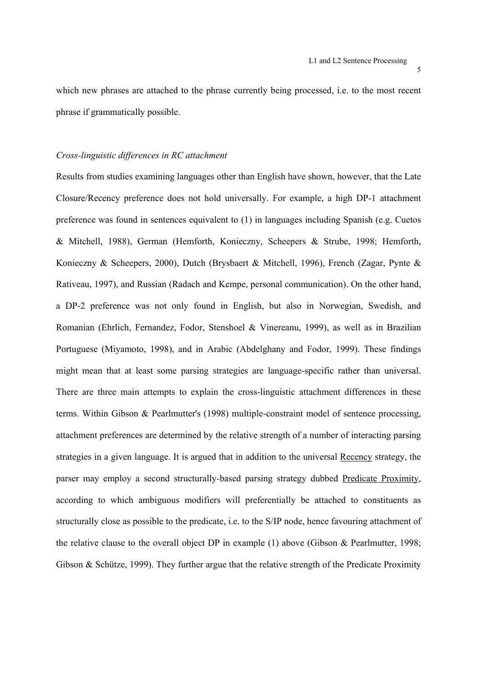which new phrases are attached to the phrase currently being processed, i.e. to the most recent phrase if grammatically possible.

#### *Cross-linguistic differences in RC attachment*

Results from studies examining languages other than English have shown, however, that the Late Closure/Recency preference does not hold universally. For example, a high DP-1 attachment preference was found in sentences equivalent to (1) in languages including Spanish (e.g. Cuetos & Mitchell, 1988), German (Hemforth, Konieczny, Scheepers & Strube, 1998; Hemforth, Konieczny & Scheepers, 2000), Dutch (Brysbaert & Mitchell, 1996), French (Zagar, Pynte & Rativeau, 1997), and Russian (Radach and Kempe, personal communication). On the other hand, a DP-2 preference was not only found in English, but also in Norwegian, Swedish, and Romanian (Ehrlich, Fernandez, Fodor, Stenshoel & Vinereanu, 1999), as well as in Brazilian Portuguese (Miyamoto, 1998), and in Arabic (Abdelghany and Fodor, 1999). These findings might mean that at least some parsing strategies are language-specific rather than universal. There are three main attempts to explain the cross-linguistic attachment differences in these terms. Within Gibson & Pearlmutter's (1998) multiple-constraint model of sentence processing, attachment preferences are determined by the relative strength of a number of interacting parsing strategies in a given language. It is argued that in addition to the universal Recency strategy, the parser may employ a second structurally-based parsing strategy dubbed Predicate Proximity, according to which ambiguous modifiers will preferentially be attached to constituents as structurally close as possible to the predicate, i.e. to the S/IP node, hence favouring attachment of the relative clause to the overall object DP in example (1) above (Gibson & Pearlmutter, 1998; Gibson & Schütze, 1999). They further argue that the relative strength of the Predicate Proximity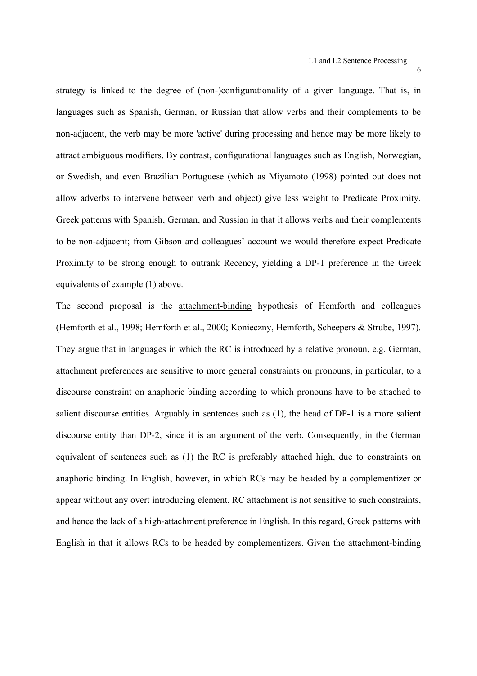strategy is linked to the degree of (non-)configurationality of a given language. That is, in languages such as Spanish, German, or Russian that allow verbs and their complements to be non-adjacent, the verb may be more 'active' during processing and hence may be more likely to attract ambiguous modifiers. By contrast, configurational languages such as English, Norwegian, or Swedish, and even Brazilian Portuguese (which as Miyamoto (1998) pointed out does not allow adverbs to intervene between verb and object) give less weight to Predicate Proximity. Greek patterns with Spanish, German, and Russian in that it allows verbs and their complements to be non-adjacent; from Gibson and colleagues' account we would therefore expect Predicate Proximity to be strong enough to outrank Recency, yielding a DP-1 preference in the Greek equivalents of example (1) above.

The second proposal is the attachment-binding hypothesis of Hemforth and colleagues (Hemforth et al., 1998; Hemforth et al., 2000; Konieczny, Hemforth, Scheepers & Strube, 1997). They argue that in languages in which the RC is introduced by a relative pronoun, e.g. German, attachment preferences are sensitive to more general constraints on pronouns, in particular, to a discourse constraint on anaphoric binding according to which pronouns have to be attached to salient discourse entities. Arguably in sentences such as (1), the head of DP-1 is a more salient discourse entity than DP-2, since it is an argument of the verb. Consequently, in the German equivalent of sentences such as (1) the RC is preferably attached high, due to constraints on anaphoric binding. In English, however, in which RCs may be headed by a complementizer or appear without any overt introducing element, RC attachment is not sensitive to such constraints, and hence the lack of a high-attachment preference in English. In this regard, Greek patterns with English in that it allows RCs to be headed by complementizers. Given the attachment-binding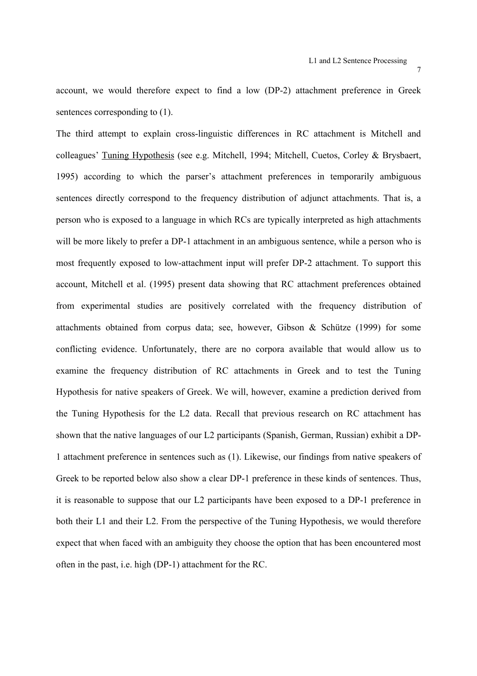$\overline{7}$ 

account, we would therefore expect to find a low (DP-2) attachment preference in Greek sentences corresponding to (1).

The third attempt to explain cross-linguistic differences in RC attachment is Mitchell and colleagues' Tuning Hypothesis (see e.g. Mitchell, 1994; Mitchell, Cuetos, Corley & Brysbaert, 1995) according to which the parser's attachment preferences in temporarily ambiguous sentences directly correspond to the frequency distribution of adjunct attachments. That is, a person who is exposed to a language in which RCs are typically interpreted as high attachments will be more likely to prefer a DP-1 attachment in an ambiguous sentence, while a person who is most frequently exposed to low-attachment input will prefer DP-2 attachment. To support this account, Mitchell et al. (1995) present data showing that RC attachment preferences obtained from experimental studies are positively correlated with the frequency distribution of attachments obtained from corpus data; see, however, Gibson & Schütze (1999) for some conflicting evidence. Unfortunately, there are no corpora available that would allow us to examine the frequency distribution of RC attachments in Greek and to test the Tuning Hypothesis for native speakers of Greek. We will, however, examine a prediction derived from the Tuning Hypothesis for the L2 data. Recall that previous research on RC attachment has shown that the native languages of our L2 participants (Spanish, German, Russian) exhibit a DP-1 attachment preference in sentences such as (1). Likewise, our findings from native speakers of Greek to be reported below also show a clear DP-1 preference in these kinds of sentences. Thus, it is reasonable to suppose that our L2 participants have been exposed to a DP-1 preference in both their L1 and their L2. From the perspective of the Tuning Hypothesis, we would therefore expect that when faced with an ambiguity they choose the option that has been encountered most often in the past, i.e. high (DP-1) attachment for the RC.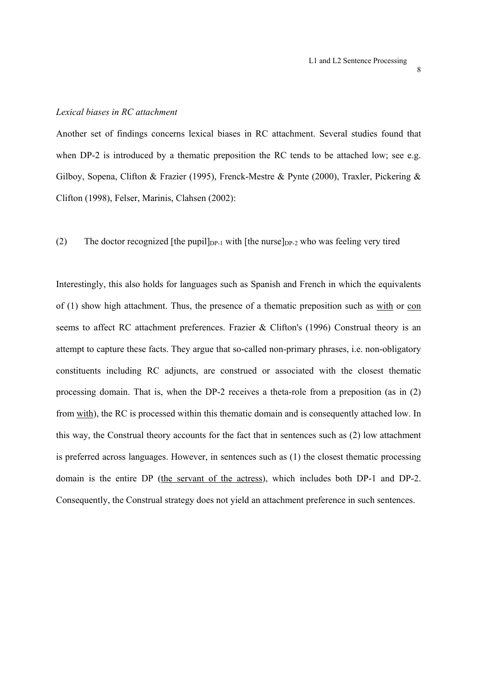#### *Lexical biases in RC attachment*

Another set of findings concerns lexical biases in RC attachment. Several studies found that when DP-2 is introduced by a thematic preposition the RC tends to be attached low; see e.g. Gilboy, Sopena, Clifton & Frazier (1995), Frenck-Mestre & Pynte (2000), Traxler, Pickering & Clifton (1998), Felser, Marinis, Clahsen (2002):

(2) The doctor recognized [the pupil] $_{DP-1}$  with [the nurse] $_{DP-2}$  who was feeling very tired

Interestingly, this also holds for languages such as Spanish and French in which the equivalents of (1) show high attachment. Thus, the presence of a thematic preposition such as with or con seems to affect RC attachment preferences. Frazier & Clifton's (1996) Construal theory is an attempt to capture these facts. They argue that so-called non-primary phrases, i.e. non-obligatory constituents including RC adjuncts, are construed or associated with the closest thematic processing domain. That is, when the DP-2 receives a theta-role from a preposition (as in (2) from with), the RC is processed within this thematic domain and is consequently attached low. In this way, the Construal theory accounts for the fact that in sentences such as (2) low attachment is preferred across languages. However, in sentences such as (1) the closest thematic processing domain is the entire DP (the servant of the actress), which includes both DP-1 and DP-2. Consequently, the Construal strategy does not yield an attachment preference in such sentences.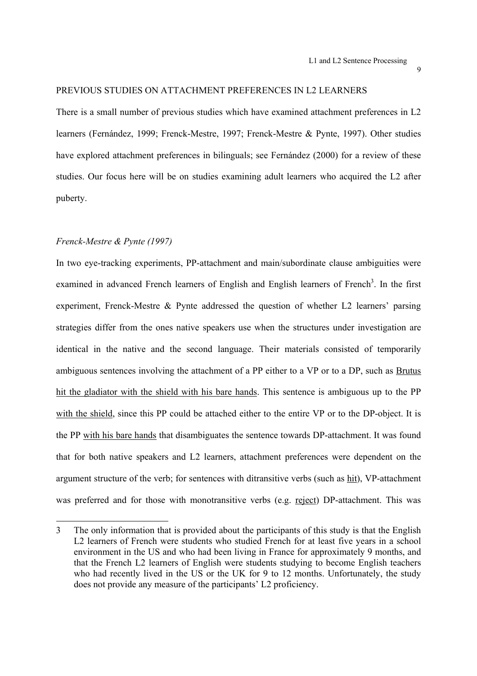#### PREVIOUS STUDIES ON ATTACHMENT PREFERENCES IN L2 LEARNERS

There is a small number of previous studies which have examined attachment preferences in L2 learners (Fernández, 1999; Frenck-Mestre, 1997; Frenck-Mestre & Pynte, 1997). Other studies have explored attachment preferences in bilinguals; see Fernández (2000) for a review of these studies. Our focus here will be on studies examining adult learners who acquired the L2 after puberty.

# *Frenck-Mestre & Pynte (1997)*

 $\overline{a}$ 

In two eye-tracking experiments, PP-attachment and main/subordinate clause ambiguities were examined in advanced French learners of English and English learners of French<sup>3</sup>. In the first experiment, Frenck-Mestre & Pynte addressed the question of whether L2 learners' parsing strategies differ from the ones native speakers use when the structures under investigation are identical in the native and the second language. Their materials consisted of temporarily ambiguous sentences involving the attachment of a PP either to a VP or to a DP, such as Brutus hit the gladiator with the shield with his bare hands. This sentence is ambiguous up to the PP with the shield, since this PP could be attached either to the entire VP or to the DP-object. It is the PP with his bare hands that disambiguates the sentence towards DP-attachment. It was found that for both native speakers and L2 learners, attachment preferences were dependent on the argument structure of the verb; for sentences with ditransitive verbs (such as hit), VP-attachment was preferred and for those with monotransitive verbs (e.g. reject) DP-attachment. This was

<sup>3</sup> The only information that is provided about the participants of this study is that the English L2 learners of French were students who studied French for at least five years in a school environment in the US and who had been living in France for approximately 9 months, and that the French L2 learners of English were students studying to become English teachers who had recently lived in the US or the UK for 9 to 12 months. Unfortunately, the study does not provide any measure of the participants' L2 proficiency.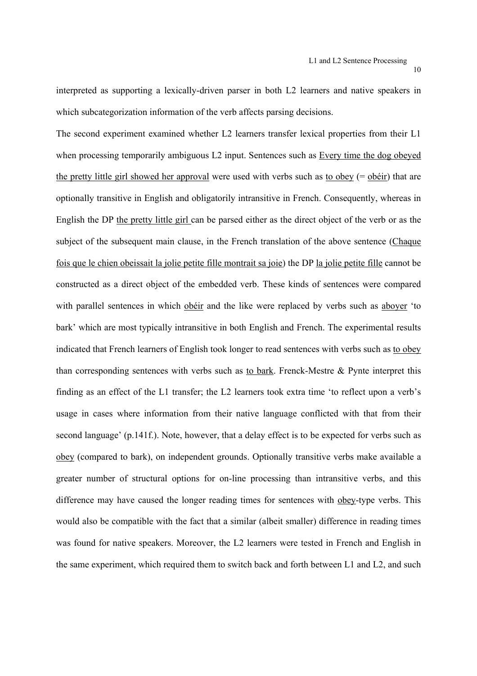interpreted as supporting a lexically-driven parser in both L2 learners and native speakers in which subcategorization information of the verb affects parsing decisions.

The second experiment examined whether L2 learners transfer lexical properties from their L1 when processing temporarily ambiguous L2 input. Sentences such as Every time the dog obeyed the pretty little girl showed her approval were used with verbs such as to obey  $(=$  obéir) that are optionally transitive in English and obligatorily intransitive in French. Consequently, whereas in English the DP the pretty little girl can be parsed either as the direct object of the verb or as the subject of the subsequent main clause, in the French translation of the above sentence (Chaque fois que le chien obeissait la jolie petite fille montrait sa joie) the DP la jolie petite fille cannot be constructed as a direct object of the embedded verb. These kinds of sentences were compared with parallel sentences in which obéir and the like were replaced by verbs such as aboyer 'to bark' which are most typically intransitive in both English and French. The experimental results indicated that French learners of English took longer to read sentences with verbs such as to obey than corresponding sentences with verbs such as to bark. Frenck-Mestre & Pynte interpret this finding as an effect of the L1 transfer; the L2 learners took extra time 'to reflect upon a verb's usage in cases where information from their native language conflicted with that from their second language' (p.141f.). Note, however, that a delay effect is to be expected for verbs such as obey (compared to bark), on independent grounds. Optionally transitive verbs make available a greater number of structural options for on-line processing than intransitive verbs, and this difference may have caused the longer reading times for sentences with obey-type verbs. This would also be compatible with the fact that a similar (albeit smaller) difference in reading times was found for native speakers. Moreover, the L2 learners were tested in French and English in the same experiment, which required them to switch back and forth between L1 and L2, and such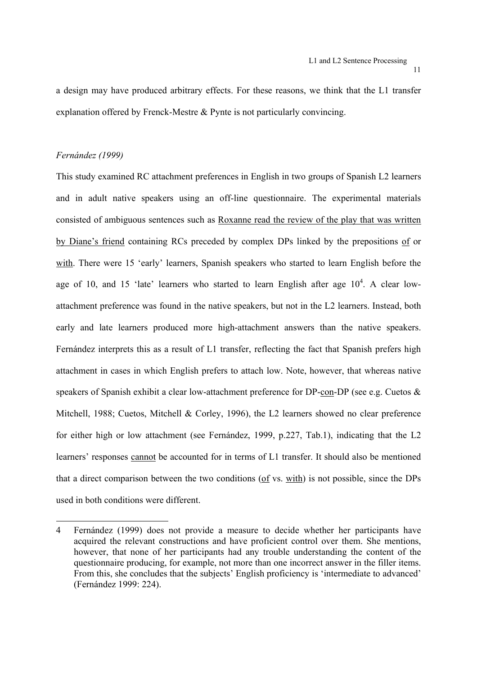a design may have produced arbitrary effects. For these reasons, we think that the L1 transfer explanation offered by Frenck-Mestre & Pynte is not particularly convincing.

### *Fernández (1999)*

 $\overline{a}$ 

This study examined RC attachment preferences in English in two groups of Spanish L2 learners and in adult native speakers using an off-line questionnaire. The experimental materials consisted of ambiguous sentences such as Roxanne read the review of the play that was written by Diane's friend containing RCs preceded by complex DPs linked by the prepositions of or with. There were 15 'early' learners, Spanish speakers who started to learn English before the age of 10, and 15 'late' learners who started to learn English after age  $10^4$ . A clear lowattachment preference was found in the native speakers, but not in the L2 learners. Instead, both early and late learners produced more high-attachment answers than the native speakers. Fernández interprets this as a result of L1 transfer, reflecting the fact that Spanish prefers high attachment in cases in which English prefers to attach low. Note, however, that whereas native speakers of Spanish exhibit a clear low-attachment preference for DP-con-DP (see e.g. Cuetos & Mitchell, 1988; Cuetos, Mitchell & Corley, 1996), the L2 learners showed no clear preference for either high or low attachment (see Fernández, 1999, p.227, Tab.1), indicating that the L2 learners' responses cannot be accounted for in terms of L1 transfer. It should also be mentioned that a direct comparison between the two conditions (of vs. with) is not possible, since the DPs used in both conditions were different.

<sup>4</sup> Fernández (1999) does not provide a measure to decide whether her participants have acquired the relevant constructions and have proficient control over them. She mentions, however, that none of her participants had any trouble understanding the content of the questionnaire producing, for example, not more than one incorrect answer in the filler items. From this, she concludes that the subjects' English proficiency is 'intermediate to advanced' (Fernández 1999: 224).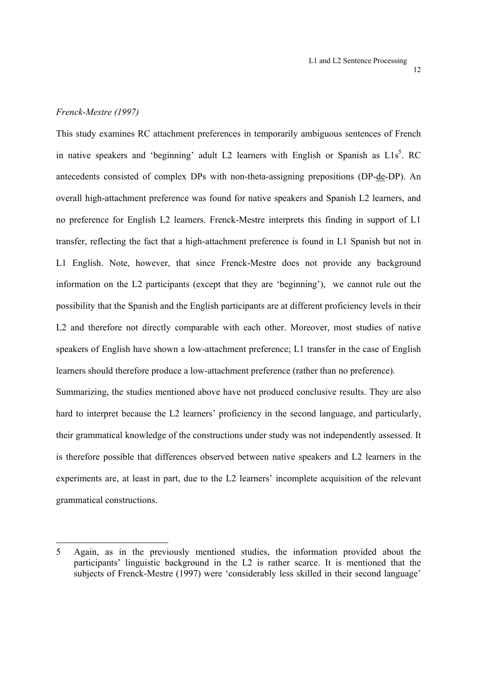### *Frenck-Mestre (1997)*

1

This study examines RC attachment preferences in temporarily ambiguous sentences of French in native speakers and 'beginning' adult L2 learners with English or Spanish as  $L1s<sup>5</sup>$ . RC antecedents consisted of complex DPs with non-theta-assigning prepositions (DP-de-DP). An overall high-attachment preference was found for native speakers and Spanish L2 learners, and no preference for English L2 learners. Frenck-Mestre interprets this finding in support of L1 transfer, reflecting the fact that a high-attachment preference is found in L1 Spanish but not in L1 English. Note, however, that since Frenck-Mestre does not provide any background information on the L2 participants (except that they are 'beginning'), we cannot rule out the possibility that the Spanish and the English participants are at different proficiency levels in their L2 and therefore not directly comparable with each other. Moreover, most studies of native speakers of English have shown a low-attachment preference; L1 transfer in the case of English learners should therefore produce a low-attachment preference (rather than no preference).

Summarizing, the studies mentioned above have not produced conclusive results. They are also hard to interpret because the L2 learners' proficiency in the second language, and particularly, their grammatical knowledge of the constructions under study was not independently assessed. It is therefore possible that differences observed between native speakers and L2 learners in the experiments are, at least in part, due to the L2 learners' incomplete acquisition of the relevant grammatical constructions.

<sup>5</sup> Again, as in the previously mentioned studies, the information provided about the participants' linguistic background in the L2 is rather scarce. It is mentioned that the subjects of Frenck-Mestre (1997) were 'considerably less skilled in their second language'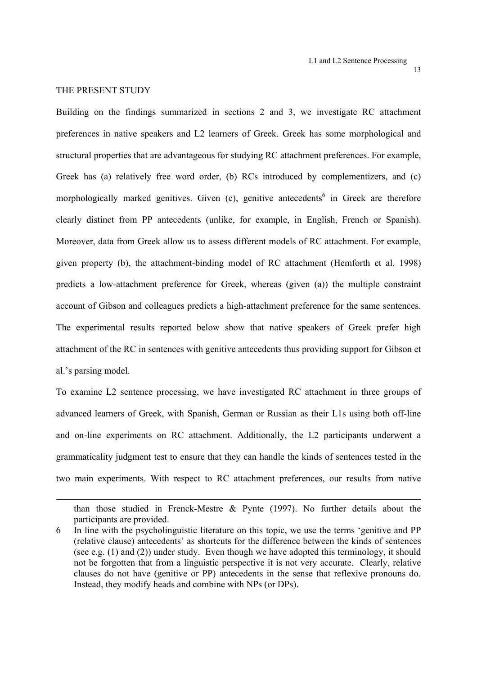# THE PRESENT STUDY

l

Building on the findings summarized in sections 2 and 3, we investigate RC attachment preferences in native speakers and L2 learners of Greek. Greek has some morphological and structural properties that are advantageous for studying RC attachment preferences. For example, Greek has (a) relatively free word order, (b) RCs introduced by complementizers, and (c) morphologically marked genitives. Given  $(c)$ , genitive antecedents<sup>6</sup> in Greek are therefore clearly distinct from PP antecedents (unlike, for example, in English, French or Spanish). Moreover, data from Greek allow us to assess different models of RC attachment. For example, given property (b), the attachment-binding model of RC attachment (Hemforth et al. 1998) predicts a low-attachment preference for Greek, whereas (given (a)) the multiple constraint account of Gibson and colleagues predicts a high-attachment preference for the same sentences. The experimental results reported below show that native speakers of Greek prefer high attachment of the RC in sentences with genitive antecedents thus providing support for Gibson et al.'s parsing model.

To examine L2 sentence processing, we have investigated RC attachment in three groups of advanced learners of Greek, with Spanish, German or Russian as their L1s using both off-line and on-line experiments on RC attachment. Additionally, the L2 participants underwent a grammaticality judgment test to ensure that they can handle the kinds of sentences tested in the two main experiments. With respect to RC attachment preferences, our results from native

than those studied in Frenck-Mestre & Pynte (1997). No further details about the participants are provided.

<sup>6</sup> In line with the psycholinguistic literature on this topic, we use the terms 'genitive and PP (relative clause) antecedents' as shortcuts for the difference between the kinds of sentences (see e.g. (1) and (2)) under study. Even though we have adopted this terminology, it should not be forgotten that from a linguistic perspective it is not very accurate. Clearly, relative clauses do not have (genitive or PP) antecedents in the sense that reflexive pronouns do. Instead, they modify heads and combine with NPs (or DPs).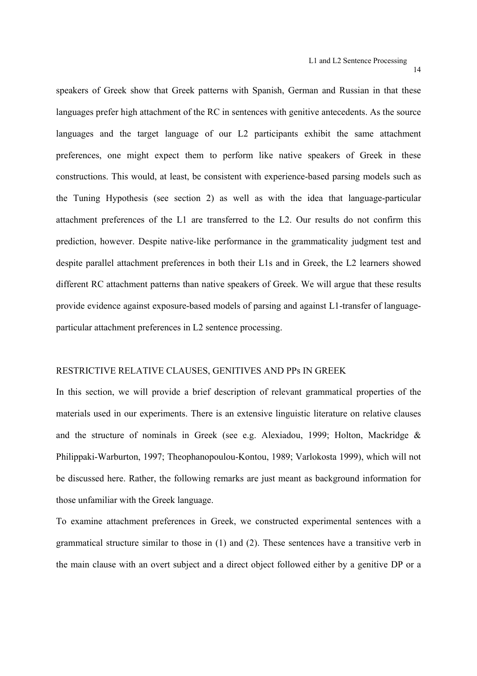speakers of Greek show that Greek patterns with Spanish, German and Russian in that these languages prefer high attachment of the RC in sentences with genitive antecedents. As the source languages and the target language of our L2 participants exhibit the same attachment preferences, one might expect them to perform like native speakers of Greek in these constructions. This would, at least, be consistent with experience-based parsing models such as the Tuning Hypothesis (see section 2) as well as with the idea that language-particular attachment preferences of the L1 are transferred to the L2. Our results do not confirm this prediction, however. Despite native-like performance in the grammaticality judgment test and despite parallel attachment preferences in both their L1s and in Greek, the L2 learners showed different RC attachment patterns than native speakers of Greek. We will argue that these results provide evidence against exposure-based models of parsing and against L1-transfer of languageparticular attachment preferences in L2 sentence processing.

#### RESTRICTIVE RELATIVE CLAUSES, GENITIVES AND PPs IN GREEK

In this section, we will provide a brief description of relevant grammatical properties of the materials used in our experiments. There is an extensive linguistic literature on relative clauses and the structure of nominals in Greek (see e.g. Alexiadou, 1999; Holton, Mackridge & Philippaki-Warburton, 1997; Theophanopoulou-Kontou, 1989; Varlokosta 1999), which will not be discussed here. Rather, the following remarks are just meant as background information for those unfamiliar with the Greek language.

To examine attachment preferences in Greek, we constructed experimental sentences with a grammatical structure similar to those in (1) and (2). These sentences have a transitive verb in the main clause with an overt subject and a direct object followed either by a genitive DP or a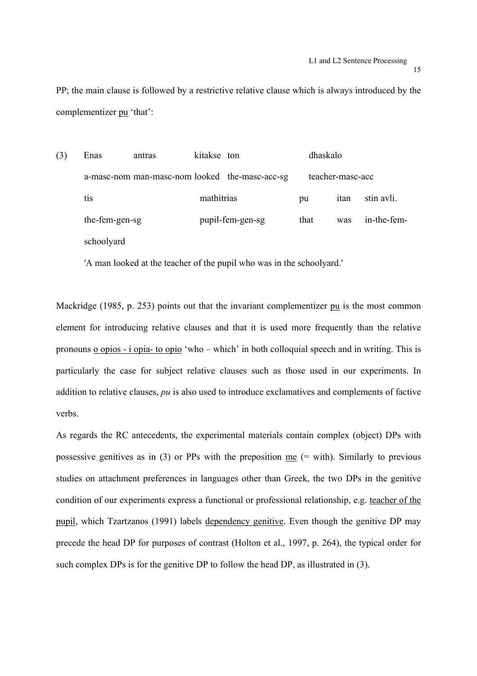PP; the main clause is followed by a restrictive relative clause which is always introduced by the complementizer pu 'that':

| (3) | Enas           | antras | kitakse ton |                                                | dhaskalo |                  |             |
|-----|----------------|--------|-------------|------------------------------------------------|----------|------------------|-------------|
|     |                |        |             | a-masc-nom man-masc-nom looked the-masc-acc-sg |          | teacher-masc-acc |             |
|     | tis            |        | mathitrias  |                                                | pu       | itan             | stin avli.  |
|     | the-fem-gen-sg |        |             | pupil-fem-gen-sg                               | that     | was              | in-the-fem- |
|     | schoolyard     |        |             |                                                |          |                  |             |

'A man looked at the teacher of the pupil who was in the schoolyard.'

Mackridge (1985, p. 253) points out that the invariant complementizer pu is the most common element for introducing relative clauses and that it is used more frequently than the relative pronouns o opios - i opia- to opio 'who – which' in both colloquial speech and in writing. This is particularly the case for subject relative clauses such as those used in our experiments. In addition to relative clauses, *pu* is also used to introduce exclamatives and complements of factive verbs.

As regards the RC antecedents, the experimental materials contain complex (object) DPs with possessive genitives as in (3) or PPs with the preposition me (= with). Similarly to previous studies on attachment preferences in languages other than Greek, the two DPs in the genitive condition of our experiments express a functional or professional relationship, e.g. teacher of the pupil, which Tzartzanos (1991) labels dependency genitive. Even though the genitive DP may precede the head DP for purposes of contrast (Holton et al., 1997, p. 264), the typical order for such complex DPs is for the genitive DP to follow the head DP, as illustrated in (3).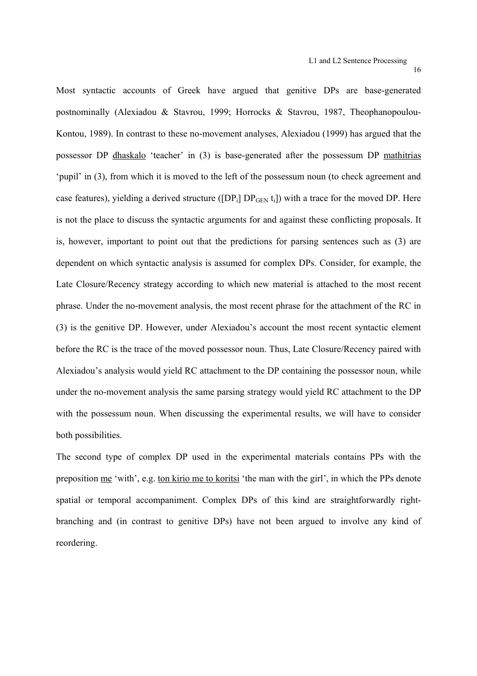Most syntactic accounts of Greek have argued that genitive DPs are base-generated postnominally (Alexiadou & Stavrou, 1999; Horrocks & Stavrou, 1987, Theophanopoulou-Kontou, 1989). In contrast to these no-movement analyses, Alexiadou (1999) has argued that the possessor DP dhaskalo 'teacher' in (3) is base-generated after the possessum DP mathitrias 'pupil' in (3), from which it is moved to the left of the possessum noun (to check agreement and case features), yielding a derived structure ([DP<sub>i</sub>]  $DP<sub>GEN</sub>$  t<sub>i</sub>]) with a trace for the moved DP. Here is not the place to discuss the syntactic arguments for and against these conflicting proposals. It is, however, important to point out that the predictions for parsing sentences such as (3) are dependent on which syntactic analysis is assumed for complex DPs. Consider, for example, the Late Closure/Recency strategy according to which new material is attached to the most recent phrase. Under the no-movement analysis, the most recent phrase for the attachment of the RC in (3) is the genitive DP. However, under Alexiadou's account the most recent syntactic element before the RC is the trace of the moved possessor noun. Thus, Late Closure/Recency paired with Alexiadou's analysis would yield RC attachment to the DP containing the possessor noun, while under the no-movement analysis the same parsing strategy would yield RC attachment to the DP with the possessum noun. When discussing the experimental results, we will have to consider both possibilities.

The second type of complex DP used in the experimental materials contains PPs with the preposition me 'with', e.g. ton kirio me to koritsi 'the man with the girl', in which the PPs denote spatial or temporal accompaniment. Complex DPs of this kind are straightforwardly rightbranching and (in contrast to genitive DPs) have not been argued to involve any kind of reordering.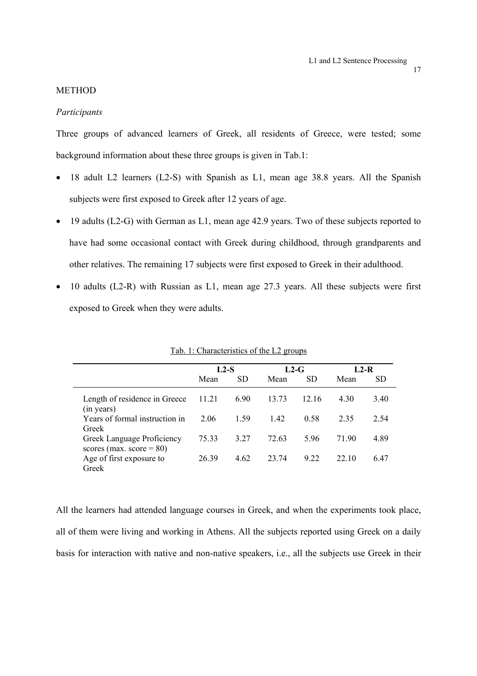#### METHOD

# *Participants*

Three groups of advanced learners of Greek, all residents of Greece, were tested; some background information about these three groups is given in Tab.1:

- 18 adult L2 learners (L2-S) with Spanish as L1, mean age 38.8 years. All the Spanish subjects were first exposed to Greek after 12 years of age.
- 19 adults (L2-G) with German as L1, mean age 42.9 years. Two of these subjects reported to have had some occasional contact with Greek during childhood, through grandparents and other relatives. The remaining 17 subjects were first exposed to Greek in their adulthood.
- 10 adults (L2-R) with Russian as L1, mean age 27.3 years. All these subjects were first exposed to Greek when they were adults.

|                                                           | $L2-S$ |           | $L2-G$ |           | $L2-R$ |      |
|-----------------------------------------------------------|--------|-----------|--------|-----------|--------|------|
|                                                           | Mean   | <b>SD</b> | Mean   | <b>SD</b> | Mean   | SD   |
| Length of residence in Greece<br>(in years)               | 11.21  | 6.90      | 13.73  | 12.16     | 4.30   | 3.40 |
| Years of formal instruction in<br>Greek                   | 2.06   | 1.59      | 142    | 0.58      | 2 3 5  | 2.54 |
| Greek Language Proficiency<br>scores (max. score = $80$ ) | 75.33  | 3.27      | 72.63  | 5.96      | 71 90  | 4.89 |
| Age of first exposure to<br>Greek                         | 26.39  | 4.62      | 23 74  | 9 2 2     | 22.10  | 6 47 |

Tab. 1: Characteristics of the L2 groups

All the learners had attended language courses in Greek, and when the experiments took place, all of them were living and working in Athens. All the subjects reported using Greek on a daily basis for interaction with native and non-native speakers, i.e., all the subjects use Greek in their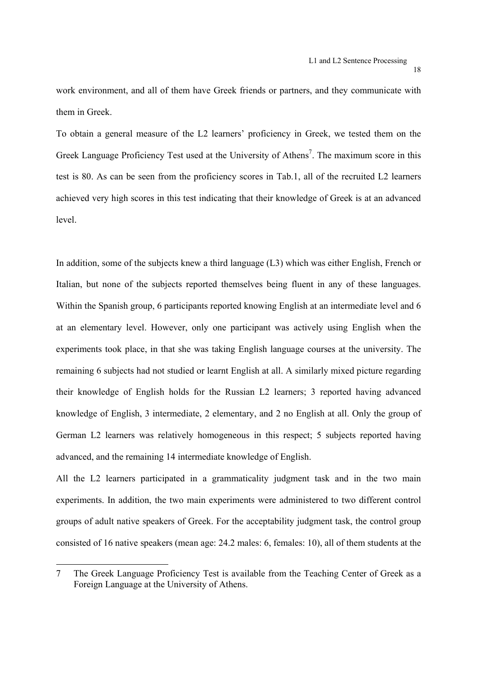work environment, and all of them have Greek friends or partners, and they communicate with them in Greek.

To obtain a general measure of the L2 learners' proficiency in Greek, we tested them on the Greek Language Proficiency Test used at the University of Athens<sup>7</sup>. The maximum score in this test is 80. As can be seen from the proficiency scores in Tab.1, all of the recruited L2 learners achieved very high scores in this test indicating that their knowledge of Greek is at an advanced level.

In addition, some of the subjects knew a third language (L3) which was either English, French or Italian, but none of the subjects reported themselves being fluent in any of these languages. Within the Spanish group, 6 participants reported knowing English at an intermediate level and 6 at an elementary level. However, only one participant was actively using English when the experiments took place, in that she was taking English language courses at the university. The remaining 6 subjects had not studied or learnt English at all. A similarly mixed picture regarding their knowledge of English holds for the Russian L2 learners; 3 reported having advanced knowledge of English, 3 intermediate, 2 elementary, and 2 no English at all. Only the group of German L2 learners was relatively homogeneous in this respect; 5 subjects reported having advanced, and the remaining 14 intermediate knowledge of English.

All the L2 learners participated in a grammaticality judgment task and in the two main experiments. In addition, the two main experiments were administered to two different control groups of adult native speakers of Greek. For the acceptability judgment task, the control group consisted of 16 native speakers (mean age: 24.2 males: 6, females: 10), all of them students at the

1

<sup>7</sup> The Greek Language Proficiency Test is available from the Teaching Center of Greek as a Foreign Language at the University of Athens.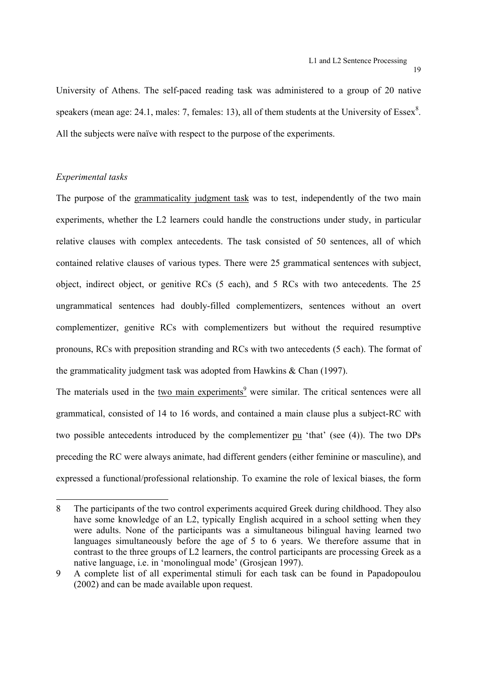University of Athens. The self-paced reading task was administered to a group of 20 native speakers (mean age: 24.1, males: 7, females: 13), all of them students at the University of Essex $^8$ . All the subjects were naïve with respect to the purpose of the experiments.

# *Experimental tasks*

1

The purpose of the grammaticality judgment task was to test, independently of the two main experiments, whether the L2 learners could handle the constructions under study, in particular relative clauses with complex antecedents. The task consisted of 50 sentences, all of which contained relative clauses of various types. There were 25 grammatical sentences with subject, object, indirect object, or genitive RCs (5 each), and 5 RCs with two antecedents. The 25 ungrammatical sentences had doubly-filled complementizers, sentences without an overt complementizer, genitive RCs with complementizers but without the required resumptive pronouns, RCs with preposition stranding and RCs with two antecedents (5 each). The format of the grammaticality judgment task was adopted from Hawkins & Chan (1997).

The materials used in the two main experiments<sup>9</sup> were similar. The critical sentences were all grammatical, consisted of 14 to 16 words, and contained a main clause plus a subject-RC with two possible antecedents introduced by the complementizer pu 'that' (see (4)). The two DPs preceding the RC were always animate, had different genders (either feminine or masculine), and expressed a functional/professional relationship. To examine the role of lexical biases, the form

<sup>8</sup> The participants of the two control experiments acquired Greek during childhood. They also have some knowledge of an L2, typically English acquired in a school setting when they were adults. None of the participants was a simultaneous bilingual having learned two languages simultaneously before the age of 5 to 6 years. We therefore assume that in contrast to the three groups of L2 learners, the control participants are processing Greek as a native language, i.e. in 'monolingual mode' (Grosjean 1997).

<sup>9</sup> A complete list of all experimental stimuli for each task can be found in Papadopoulou (2002) and can be made available upon request.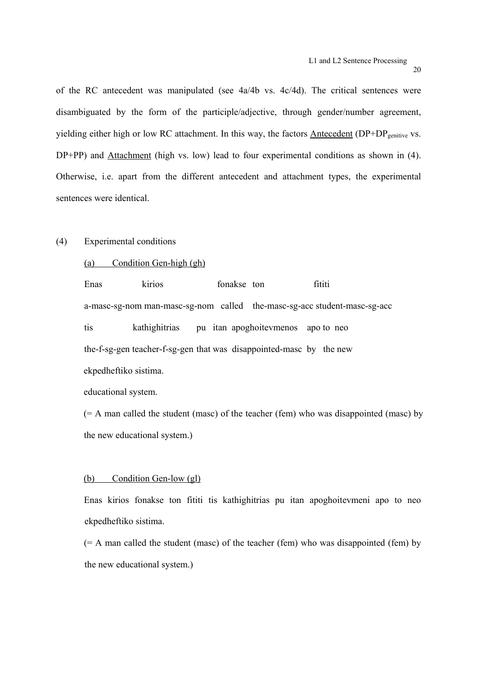of the RC antecedent was manipulated (see 4a/4b vs. 4c/4d). The critical sentences were disambiguated by the form of the participle/adjective, through gender/number agreement, vielding either high or low RC attachment. In this way, the factors Antecedent (DP+DP<sub>genitive</sub> vs. DP+PP) and Attachment (high vs. low) lead to four experimental conditions as shown in (4). Otherwise, i.e. apart from the different antecedent and attachment types, the experimental sentences were identical.

# (4) Experimental conditions

(a) Condition Gen-high (gh)

Enas kirios fonakse ton fititi a-masc-sg-nom man-masc-sg-nom called the-masc-sg-acc student-masc-sg-acc tis kathighitrias pu itan apoghoitevmenos apo to neo the-f-sg-gen teacher-f-sg-gen that was disappointed-masc by the new ekpedheftiko sistima.

educational system.

 $(= A \text{ man called the student (masc) of the teacher (fem) who was disappeared (masc) by }$ the new educational system.)

#### (b) Condition Gen-low (gl)

Enas kirios fonakse ton fititi tis kathighitrias pu itan apoghoitevmeni apo to neo ekpedheftiko sistima.

 $(= A \text{ man called the student (masc) of the teacher (fem) who was disappeared (fem) by }$ the new educational system.)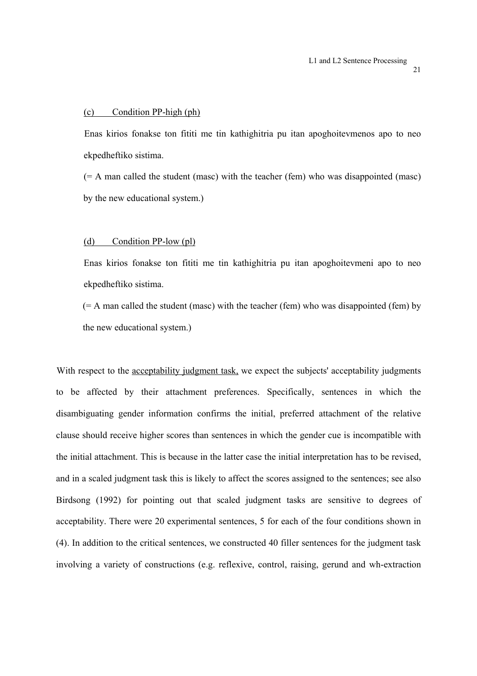#### (c) Condition PP-high (ph)

 Enas kirios fonakse ton fititi me tin kathighitria pu itan apoghoitevmenos apo to neo ekpedheftiko sistima.

(= A man called the student (masc) with the teacher (fem) who was disappointed (masc) by the new educational system.)

#### (d) Condition PP-low (pl)

Enas kirios fonakse ton fititi me tin kathighitria pu itan apoghoitevmeni apo to neo ekpedheftiko sistima.

 $(= A \text{ man called the student (masc) with the teacher (fem) who was disappeared (fem) by }$ the new educational system.)

With respect to the acceptability judgment task, we expect the subjects' acceptability judgments to be affected by their attachment preferences. Specifically, sentences in which the disambiguating gender information confirms the initial, preferred attachment of the relative clause should receive higher scores than sentences in which the gender cue is incompatible with the initial attachment. This is because in the latter case the initial interpretation has to be revised, and in a scaled judgment task this is likely to affect the scores assigned to the sentences; see also Birdsong (1992) for pointing out that scaled judgment tasks are sensitive to degrees of acceptability. There were 20 experimental sentences, 5 for each of the four conditions shown in (4). In addition to the critical sentences, we constructed 40 filler sentences for the judgment task involving a variety of constructions (e.g. reflexive, control, raising, gerund and wh-extraction

21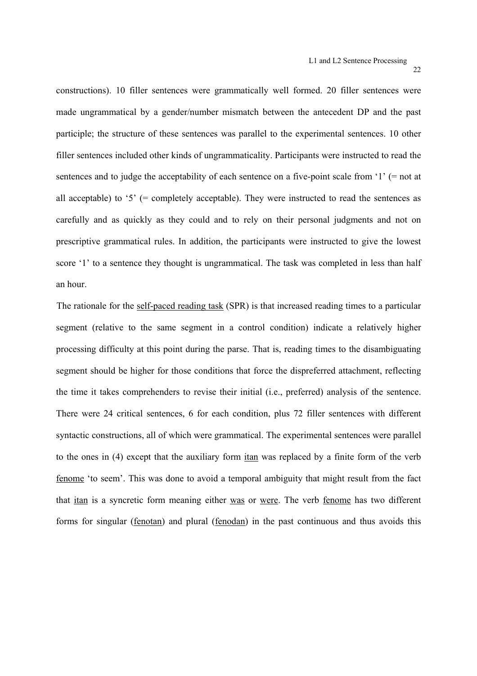constructions). 10 filler sentences were grammatically well formed. 20 filler sentences were made ungrammatical by a gender/number mismatch between the antecedent DP and the past participle; the structure of these sentences was parallel to the experimental sentences. 10 other filler sentences included other kinds of ungrammaticality. Participants were instructed to read the sentences and to judge the acceptability of each sentence on a five-point scale from '1' (= not at all acceptable) to '5' (= completely acceptable). They were instructed to read the sentences as carefully and as quickly as they could and to rely on their personal judgments and not on prescriptive grammatical rules. In addition, the participants were instructed to give the lowest score '1' to a sentence they thought is ungrammatical. The task was completed in less than half an hour.

The rationale for the self-paced reading task (SPR) is that increased reading times to a particular segment (relative to the same segment in a control condition) indicate a relatively higher processing difficulty at this point during the parse. That is, reading times to the disambiguating segment should be higher for those conditions that force the dispreferred attachment, reflecting the time it takes comprehenders to revise their initial (i.e., preferred) analysis of the sentence. There were 24 critical sentences, 6 for each condition, plus 72 filler sentences with different syntactic constructions, all of which were grammatical. The experimental sentences were parallel to the ones in (4) except that the auxiliary form itan was replaced by a finite form of the verb fenome 'to seem'. This was done to avoid a temporal ambiguity that might result from the fact that itan is a syncretic form meaning either was or were. The verb fenome has two different forms for singular (fenotan) and plural (fenodan) in the past continuous and thus avoids this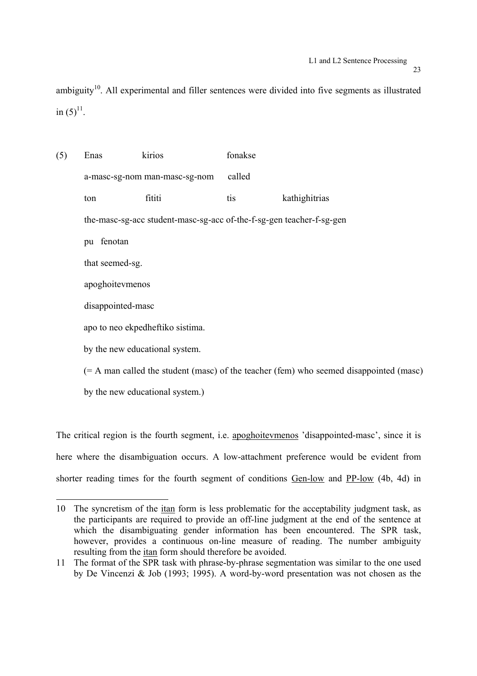ambiguity<sup>10</sup>. All experimental and filler sentences were divided into five segments as illustrated in  $(5)^{11}$ .

(5) Enas kirios fonakse a-masc-sg-nom man-masc-sg-nom called ton fititi tis kathighitrias the-masc-sg-acc student-masc-sg-acc of-the-f-sg-gen teacher-f-sg-gen pu fenotan that seemed-sg. apoghoitevmenos disappointed-masc apo to neo ekpedheftiko sistima. by the new educational system. (= A man called the student (masc) of the teacher (fem) who seemed disappointed (masc)

by the new educational system.)

The critical region is the fourth segment, i.e. apoghoitevmenos 'disappointed-masc', since it is here where the disambiguation occurs. A low-attachment preference would be evident from shorter reading times for the fourth segment of conditions Gen-low and PP-low (4b, 4d) in

<sup>1</sup> 10 The syncretism of the itan form is less problematic for the acceptability judgment task, as the participants are required to provide an off-line judgment at the end of the sentence at which the disambiguating gender information has been encountered. The SPR task, however, provides a continuous on-line measure of reading. The number ambiguity resulting from the itan form should therefore be avoided.

<sup>11</sup> The format of the SPR task with phrase-by-phrase segmentation was similar to the one used by De Vincenzi & Job (1993; 1995). A word-by-word presentation was not chosen as the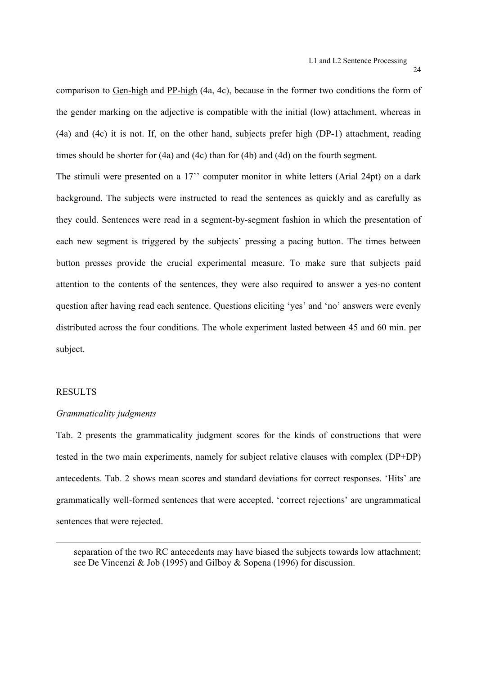comparison to Gen-high and PP-high (4a, 4c), because in the former two conditions the form of the gender marking on the adjective is compatible with the initial (low) attachment, whereas in (4a) and (4c) it is not. If, on the other hand, subjects prefer high (DP-1) attachment, reading times should be shorter for (4a) and (4c) than for (4b) and (4d) on the fourth segment.

The stimuli were presented on a 17'' computer monitor in white letters (Arial 24pt) on a dark background. The subjects were instructed to read the sentences as quickly and as carefully as they could. Sentences were read in a segment-by-segment fashion in which the presentation of each new segment is triggered by the subjects' pressing a pacing button. The times between button presses provide the crucial experimental measure. To make sure that subjects paid attention to the contents of the sentences, they were also required to answer a yes-no content question after having read each sentence. Questions eliciting 'yes' and 'no' answers were evenly distributed across the four conditions. The whole experiment lasted between 45 and 60 min. per subject.

# RESULTS

l

#### *Grammaticality judgments*

Tab. 2 presents the grammaticality judgment scores for the kinds of constructions that were tested in the two main experiments, namely for subject relative clauses with complex (DP+DP) antecedents. Tab. 2 shows mean scores and standard deviations for correct responses. 'Hits' are grammatically well-formed sentences that were accepted, 'correct rejections' are ungrammatical sentences that were rejected.

separation of the two RC antecedents may have biased the subjects towards low attachment; see De Vincenzi & Job (1995) and Gilboy & Sopena (1996) for discussion.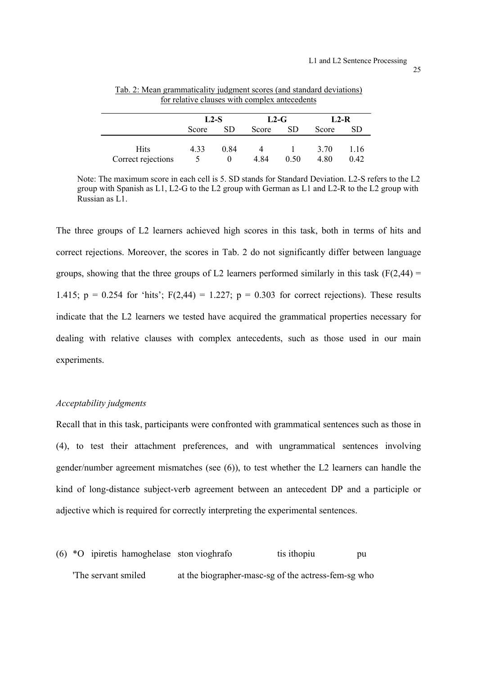|                    | $L2-S$ |      | $L2-G$ |           | $L2-R$ |           |
|--------------------|--------|------|--------|-----------|--------|-----------|
|                    | Score  | SD.  | Score  | <b>SD</b> | Score  | <b>SD</b> |
|                    |        |      |        |           |        |           |
| Hits               | 4.33   | 0.84 |        |           | 3.70   | 1.16      |
| Correct rejections |        |      | 4.84   | 0.50      | 4.80   | 0.42      |

Tab. 2: Mean grammaticality judgment scores (and standard deviations) for relative clauses with complex antecedents

Note: The maximum score in each cell is 5. SD stands for Standard Deviation. L2-S refers to the L2 group with Spanish as L1, L2-G to the L2 group with German as L1 and L2-R to the L2 group with Russian as L1.

The three groups of L2 learners achieved high scores in this task, both in terms of hits and correct rejections. Moreover, the scores in Tab. 2 do not significantly differ between language groups, showing that the three groups of L2 learners performed similarly in this task  $(F(2,44) =$ 1.415;  $p = 0.254$  for 'hits';  $F(2,44) = 1.227$ ;  $p = 0.303$  for correct rejections). These results indicate that the L2 learners we tested have acquired the grammatical properties necessary for dealing with relative clauses with complex antecedents, such as those used in our main experiments.

#### *Acceptability judgments*

Recall that in this task, participants were confronted with grammatical sentences such as those in (4), to test their attachment preferences, and with ungrammatical sentences involving gender/number agreement mismatches (see (6)), to test whether the L2 learners can handle the kind of long-distance subject-verb agreement between an antecedent DP and a participle or adjective which is required for correctly interpreting the experimental sentences.

 $(6)$  \*O ipiretis hamoghelase ston vioghrafo tis ithopiu pu 'The servant smiled at the biographer-masc-sg of the actress-fem-sg who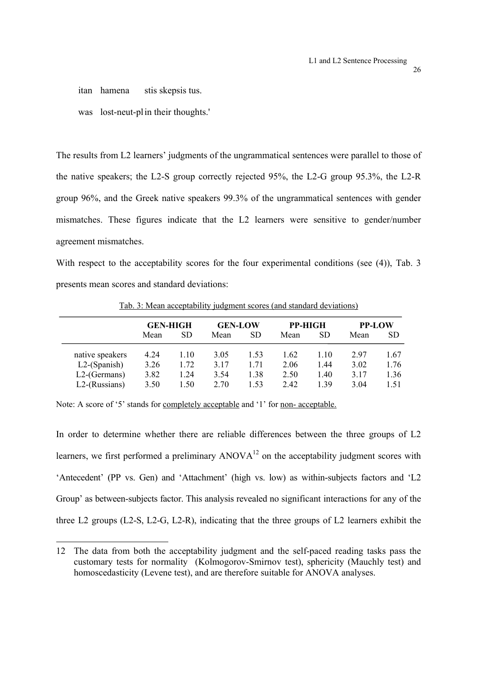itan hamena stis skepsis tus.

was lost-neut-pl in their thoughts.'

The results from L2 learners' judgments of the ungrammatical sentences were parallel to those of the native speakers; the L2-S group correctly rejected 95%, the L2-G group 95.3%, the L2-R group 96%, and the Greek native speakers 99.3% of the ungrammatical sentences with gender mismatches. These figures indicate that the L2 learners were sensitive to gender/number agreement mismatches.

With respect to the acceptability scores for the four experimental conditions (see (4)), Tab. 3 presents mean scores and standard deviations:

|                  | <b>GEN-HIGH</b> |      | <b>GEN-LOW</b> |           | <b>PP-HIGH</b> |           |      | <b>PP-LOW</b> |  |
|------------------|-----------------|------|----------------|-----------|----------------|-----------|------|---------------|--|
|                  | Mean            | SD   | Mean           | <b>SD</b> | Mean           | <b>SD</b> | Mean | <b>SD</b>     |  |
| native speakers  | 4.24            | 1.10 | 3.05           | 1.53      | 1.62           | 1.10      | 297  | 1.67          |  |
| $L2$ -(Spanish)  | 3.26            | 1.72 | 3 1 7          | 1 71      | 2.06           | 1.44      | 3.02 | 1.76          |  |
| $L2$ -(Germans)  | 3.82            | .24  | 3.54           | 1.38      | 2.50           | 1.40      | 3.17 | 1.36          |  |
| $L2$ -(Russians) | 3.50            | 1.50 | 2.70           | 1.53      | 2.42           | 1 39      | 3.04 | 1.51          |  |

Tab. 3: Mean acceptability judgment scores (and standard deviations)

Note: A score of '5' stands for completely acceptable and '1' for non- acceptable.

1

In order to determine whether there are reliable differences between the three groups of L2 learners, we first performed a preliminary  $ANOVA<sup>12</sup>$  on the acceptability judgment scores with 'Antecedent' (PP vs. Gen) and 'Attachment' (high vs. low) as within-subjects factors and 'L2 Group' as between-subjects factor. This analysis revealed no significant interactions for any of the three L2 groups (L2-S, L2-G, L2-R), indicating that the three groups of L2 learners exhibit the

<sup>12</sup> The data from both the acceptability judgment and the self-paced reading tasks pass the customary tests for normality (Kolmogorov-Smirnov test), sphericity (Mauchly test) and homoscedasticity (Levene test), and are therefore suitable for ANOVA analyses.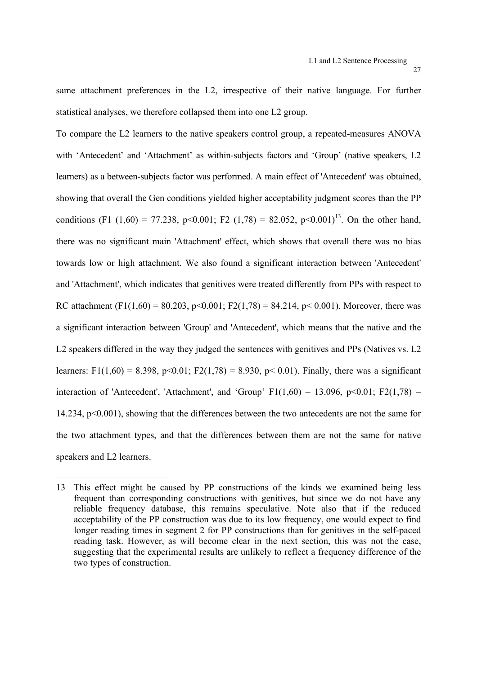same attachment preferences in the L2, irrespective of their native language. For further statistical analyses, we therefore collapsed them into one L2 group.

To compare the L2 learners to the native speakers control group, a repeated-measures ANOVA with 'Antecedent' and 'Attachment' as within-subjects factors and 'Group' (native speakers, L2 learners) as a between-subjects factor was performed. A main effect of 'Antecedent' was obtained, showing that overall the Gen conditions yielded higher acceptability judgment scores than the PP conditions (F1 (1,60) = 77.238, p<0.001; F2 (1,78) = 82.052, p<0.001)<sup>13</sup>. On the other hand, there was no significant main 'Attachment' effect, which shows that overall there was no bias towards low or high attachment. We also found a significant interaction between 'Antecedent' and 'Attachment', which indicates that genitives were treated differently from PPs with respect to RC attachment (F1(1,60) = 80.203, p<0.001; F2(1,78) = 84.214, p< 0.001). Moreover, there was a significant interaction between 'Group' and 'Antecedent', which means that the native and the L2 speakers differed in the way they judged the sentences with genitives and PPs (Natives vs. L2 learners: F1(1,60) = 8.398, p<0.01; F2(1,78) = 8.930, p< 0.01). Finally, there was a significant interaction of 'Antecedent', 'Attachment', and 'Group'  $F1(1,60) = 13.096$ ,  $p<0.01$ ;  $F2(1,78) =$ 14.234, p<0.001), showing that the differences between the two antecedents are not the same for the two attachment types, and that the differences between them are not the same for native speakers and L2 learners.

1

<sup>13</sup> This effect might be caused by PP constructions of the kinds we examined being less frequent than corresponding constructions with genitives, but since we do not have any reliable frequency database, this remains speculative. Note also that if the reduced acceptability of the PP construction was due to its low frequency, one would expect to find longer reading times in segment 2 for PP constructions than for genitives in the self-paced reading task. However, as will become clear in the next section, this was not the case, suggesting that the experimental results are unlikely to reflect a frequency difference of the two types of construction.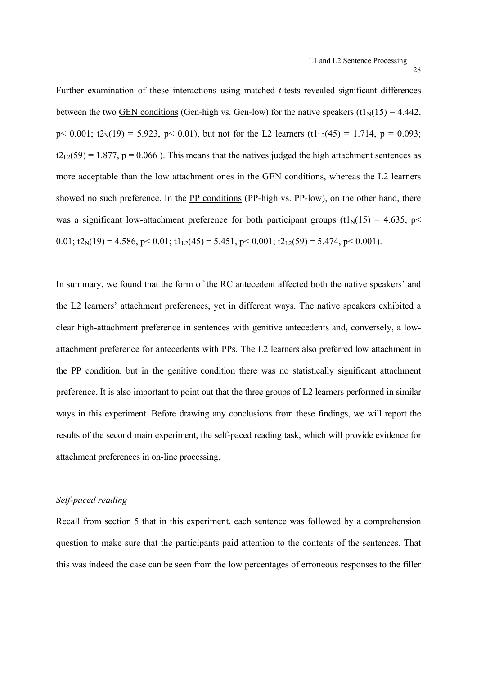Further examination of these interactions using matched *t*-tests revealed significant differences between the two GEN conditions (Gen-high vs. Gen-low) for the native speakers (t1 $_{\text{N}}(15) = 4.442$ , p < 0.001; t2<sub>N</sub>(19) = 5.923, p < 0.01), but not for the L2 learners (t1<sub>L2</sub>(45) = 1.714, p = 0.093;  $t2_{1,2}(59) = 1.877$ ,  $p = 0.066$ ). This means that the natives judged the high attachment sentences as more acceptable than the low attachment ones in the GEN conditions, whereas the L2 learners showed no such preference. In the PP conditions (PP-high vs. PP-low), on the other hand, there was a significant low-attachment preference for both participant groups (t1 $_{\text{N}}(15) = 4.635$ , p< 0.01;  $t2_N(19) = 4.586$ ,  $p < 0.01$ ;  $t1_{1,2}(45) = 5.451$ ,  $p < 0.001$ ;  $t2_{1,2}(59) = 5.474$ ,  $p < 0.001$ ).

In summary, we found that the form of the RC antecedent affected both the native speakers' and the L2 learners' attachment preferences, yet in different ways. The native speakers exhibited a clear high-attachment preference in sentences with genitive antecedents and, conversely, a lowattachment preference for antecedents with PPs. The L2 learners also preferred low attachment in the PP condition, but in the genitive condition there was no statistically significant attachment preference. It is also important to point out that the three groups of L2 learners performed in similar ways in this experiment. Before drawing any conclusions from these findings, we will report the results of the second main experiment, the self-paced reading task, which will provide evidence for attachment preferences in on-line processing.

# *Self-paced reading*

Recall from section 5 that in this experiment, each sentence was followed by a comprehension question to make sure that the participants paid attention to the contents of the sentences. That this was indeed the case can be seen from the low percentages of erroneous responses to the filler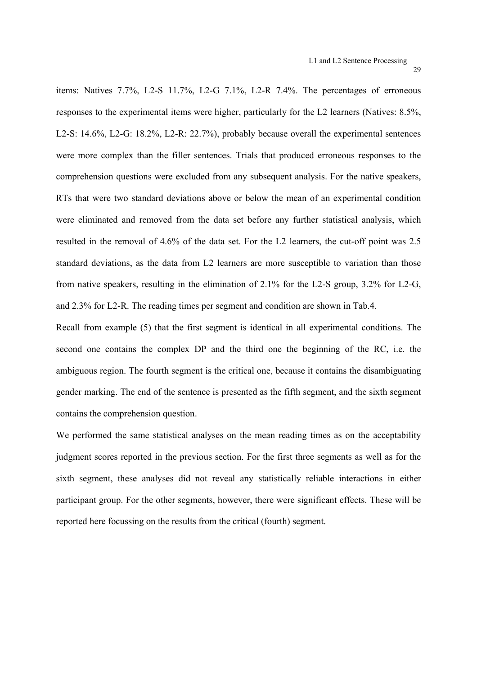items: Natives 7.7%, L2-S 11.7%, L2-G 7.1%, L2-R 7.4%. The percentages of erroneous responses to the experimental items were higher, particularly for the L2 learners (Natives: 8.5%, L2-S: 14.6%, L2-G: 18.2%, L2-R: 22.7%), probably because overall the experimental sentences were more complex than the filler sentences. Trials that produced erroneous responses to the comprehension questions were excluded from any subsequent analysis. For the native speakers, RTs that were two standard deviations above or below the mean of an experimental condition were eliminated and removed from the data set before any further statistical analysis, which resulted in the removal of 4.6% of the data set. For the L2 learners, the cut-off point was 2.5 standard deviations, as the data from L2 learners are more susceptible to variation than those

from native speakers, resulting in the elimination of 2.1% for the L2-S group, 3.2% for L2-G, and 2.3% for L2-R. The reading times per segment and condition are shown in Tab.4.

Recall from example (5) that the first segment is identical in all experimental conditions. The second one contains the complex DP and the third one the beginning of the RC, i.e. the ambiguous region. The fourth segment is the critical one, because it contains the disambiguating gender marking. The end of the sentence is presented as the fifth segment, and the sixth segment contains the comprehension question.

We performed the same statistical analyses on the mean reading times as on the acceptability judgment scores reported in the previous section. For the first three segments as well as for the sixth segment, these analyses did not reveal any statistically reliable interactions in either participant group. For the other segments, however, there were significant effects. These will be reported here focussing on the results from the critical (fourth) segment.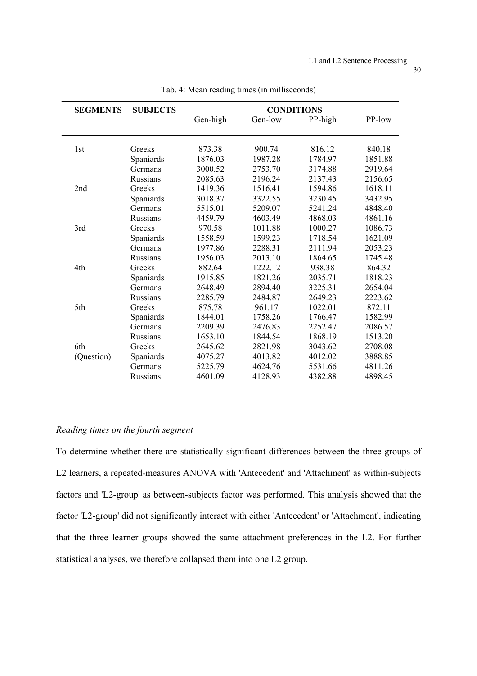| <b>SEGMENTS</b> | <b>SUBJECTS</b> | <b>CONDITIONS</b> |         |         |         |  |  |
|-----------------|-----------------|-------------------|---------|---------|---------|--|--|
|                 |                 | Gen-high          | Gen-low | PP-high | PP-low  |  |  |
| 1st             | Greeks          | 873.38            | 900.74  | 816.12  | 840.18  |  |  |
|                 | Spaniards       | 1876.03           | 1987.28 | 1784.97 | 1851.88 |  |  |
|                 | Germans         | 3000.52           | 2753.70 | 3174.88 | 2919.64 |  |  |
|                 | Russians        | 2085.63           | 2196.24 | 2137.43 | 2156.65 |  |  |
| 2nd             | Greeks          | 1419.36           | 1516.41 | 1594.86 | 1618.11 |  |  |
|                 | Spaniards       | 3018.37           | 3322.55 | 3230.45 | 3432.95 |  |  |
|                 | Germans         | 5515.01           | 5209.07 | 5241.24 | 4848.40 |  |  |
|                 | Russians        | 4459.79           | 4603.49 | 4868.03 | 4861.16 |  |  |
| 3rd             | Greeks          | 970.58            | 1011.88 | 1000.27 | 1086.73 |  |  |
|                 | Spaniards       | 1558.59           | 1599.23 | 1718.54 | 1621.09 |  |  |
|                 | Germans         | 1977.86           | 2288.31 | 2111.94 | 2053.23 |  |  |
|                 | Russians        | 1956.03           | 2013.10 | 1864.65 | 1745.48 |  |  |
| 4th             | Greeks          | 882.64            | 1222.12 | 938.38  | 864.32  |  |  |
|                 | Spaniards       | 1915.85           | 1821.26 | 2035.71 | 1818.23 |  |  |
|                 | Germans         | 2648.49           | 2894.40 | 3225.31 | 2654.04 |  |  |
|                 | Russians        | 2285.79           | 2484.87 | 2649.23 | 2223.62 |  |  |
| 5th             | Greeks          | 875.78            | 961.17  | 1022.01 | 872.11  |  |  |
|                 | Spaniards       | 1844.01           | 1758.26 | 1766.47 | 1582.99 |  |  |
|                 | Germans         | 2209.39           | 2476.83 | 2252.47 | 2086.57 |  |  |
|                 | Russians        | 1653.10           | 1844.54 | 1868.19 | 1513.20 |  |  |
| 6th             | Greeks          | 2645.62           | 2821.98 | 3043.62 | 2708.08 |  |  |
| (Question)      | Spaniards       | 4075.27           | 4013.82 | 4012.02 | 3888.85 |  |  |
|                 | Germans         | 5225.79           | 4624.76 | 5531.66 | 4811.26 |  |  |
|                 | <b>Russians</b> | 4601.09           | 4128.93 | 4382.88 | 4898.45 |  |  |

Tab. 4: Mean reading times (in milliseconds)

# *Reading times on the fourth segment*

To determine whether there are statistically significant differences between the three groups of L2 learners, a repeated-measures ANOVA with 'Antecedent' and 'Attachment' as within-subjects factors and 'L2-group' as between-subjects factor was performed. This analysis showed that the factor 'L2-group' did not significantly interact with either 'Antecedent' or 'Attachment', indicating that the three learner groups showed the same attachment preferences in the L2. For further statistical analyses, we therefore collapsed them into one L2 group.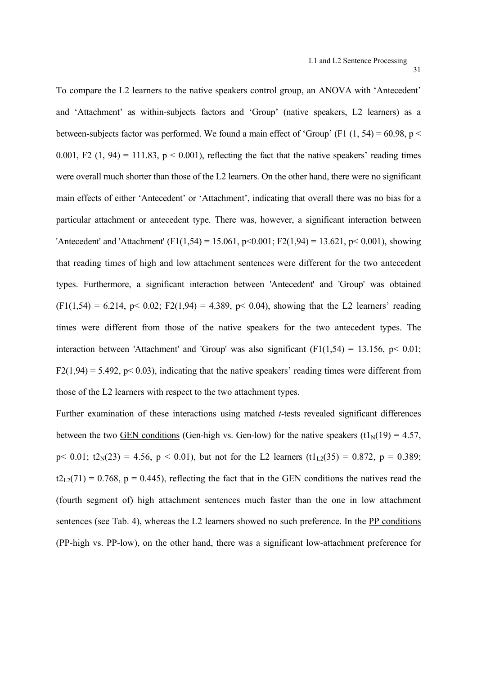To compare the L2 learners to the native speakers control group, an ANOVA with 'Antecedent' and 'Attachment' as within-subjects factors and 'Group' (native speakers, L2 learners) as a between-subjects factor was performed. We found a main effect of 'Group' (F1  $(1, 54) = 60.98$ , p < 0.001, F2 (1, 94) = 111.83,  $p < 0.001$ ), reflecting the fact that the native speakers' reading times were overall much shorter than those of the L2 learners. On the other hand, there were no significant main effects of either 'Antecedent' or 'Attachment', indicating that overall there was no bias for a particular attachment or antecedent type. There was, however, a significant interaction between 'Antecedent' and 'Attachment' (F1(1,54) = 15.061, p<0.001; F2(1,94) = 13.621, p<0.001), showing that reading times of high and low attachment sentences were different for the two antecedent types. Furthermore, a significant interaction between 'Antecedent' and 'Group' was obtained  $(F1(1,54) = 6.214, p < 0.02$ ; F2(1,94) = 4.389, p  $0.04$ ), showing that the L2 learners' reading times were different from those of the native speakers for the two antecedent types. The interaction between 'Attachment' and 'Group' was also significant  $(F1(1,54) = 13.156, p < 0.01$ ;  $F2(1,94) = 5.492$ ,  $p < 0.03$ ), indicating that the native speakers' reading times were different from those of the L2 learners with respect to the two attachment types.

Further examination of these interactions using matched *t*-tests revealed significant differences between the two GEN conditions (Gen-high vs. Gen-low) for the native speakers (t1<sub>N</sub>(19) = 4.57,  $p < 0.01$ ;  $t2<sub>N</sub>(23) = 4.56$ ,  $p < 0.01$ ), but not for the L2 learners  $(t1<sub>L2</sub>(35) = 0.872$ ,  $p = 0.389$ ;  $t2_{L2}(71) = 0.768$ ,  $p = 0.445$ ), reflecting the fact that in the GEN conditions the natives read the (fourth segment of) high attachment sentences much faster than the one in low attachment sentences (see Tab. 4), whereas the L2 learners showed no such preference. In the PP conditions (PP-high vs. PP-low), on the other hand, there was a significant low-attachment preference for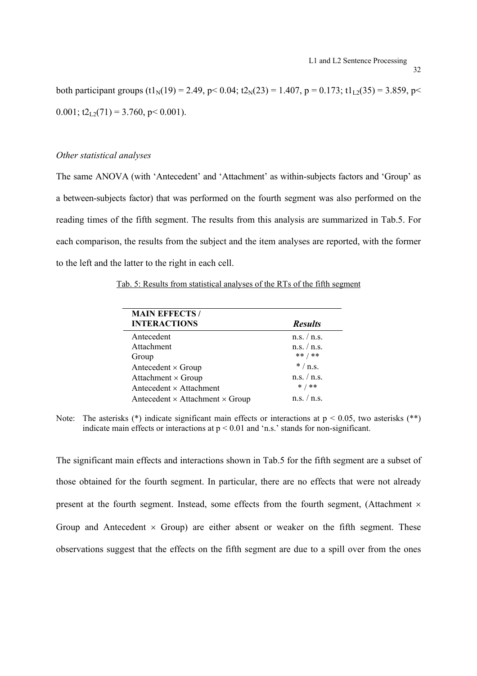both participant groups  $(t1_N(19) = 2.49, p < 0.04; t2_N(23) = 1.407, p = 0.173; t1_{1,2}(35) = 3.859, p <$ 0.001;  $t2_{L2}(71) = 3.760$ , p < 0.001).

# *Other statistical analyses*

The same ANOVA (with 'Antecedent' and 'Attachment' as within-subjects factors and 'Group' as a between-subjects factor) that was performed on the fourth segment was also performed on the reading times of the fifth segment. The results from this analysis are summarized in Tab.5. For each comparison, the results from the subject and the item analyses are reported, with the former to the left and the latter to the right in each cell.

Tab. 5: Results from statistical analyses of the RTs of the fifth segment

| <b>MAIN EFFECTS/</b>                          |                |
|-----------------------------------------------|----------------|
| <b>INTERACTIONS</b>                           | <b>Results</b> |
| Antecedent                                    | n.s. / n.s.    |
| Attachment                                    | n.s. / n.s.    |
| Group                                         | ** / **        |
| Antecedent $\times$ Group                     | $*/$ n.s.      |
| Attachment $\times$ Group                     | n.s. / n.s.    |
| Antecedent $\times$ Attachment                | $* / * *$      |
| Antecedent $\times$ Attachment $\times$ Group | n.s. / n.s.    |

Note: The asterisks  $(*)$  indicate significant main effects or interactions at  $p < 0.05$ , two asterisks  $(**)$ indicate main effects or interactions at  $p \le 0.01$  and 'n.s.' stands for non-significant.

The significant main effects and interactions shown in Tab.5 for the fifth segment are a subset of those obtained for the fourth segment. In particular, there are no effects that were not already present at the fourth segment. Instead, some effects from the fourth segment, (Attachment  $\times$ Group and Antecedent  $\times$  Group) are either absent or weaker on the fifth segment. These observations suggest that the effects on the fifth segment are due to a spill over from the ones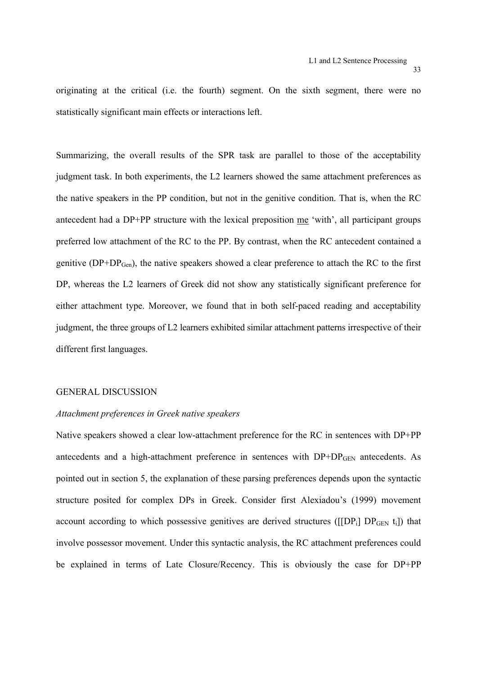originating at the critical (i.e. the fourth) segment. On the sixth segment, there were no statistically significant main effects or interactions left.

Summarizing, the overall results of the SPR task are parallel to those of the acceptability judgment task. In both experiments, the L2 learners showed the same attachment preferences as the native speakers in the PP condition, but not in the genitive condition. That is, when the RC antecedent had a DP+PP structure with the lexical preposition me 'with', all participant groups preferred low attachment of the RC to the PP. By contrast, when the RC antecedent contained a genitive (DP+DPGen), the native speakers showed a clear preference to attach the RC to the first DP, whereas the L2 learners of Greek did not show any statistically significant preference for either attachment type. Moreover, we found that in both self-paced reading and acceptability judgment, the three groups of L2 learners exhibited similar attachment patterns irrespective of their different first languages.

#### GENERAL DISCUSSION

#### *Attachment preferences in Greek native speakers*

Native speakers showed a clear low-attachment preference for the RC in sentences with DP+PP antecedents and a high-attachment preference in sentences with DP+DP<sub>GEN</sub> antecedents. As pointed out in section 5, the explanation of these parsing preferences depends upon the syntactic structure posited for complex DPs in Greek. Consider first Alexiadou's (1999) movement account according to which possessive genitives are derived structures ( $[{\rm [DP_i] \ DP_{GEN} t_i]}$ ) that involve possessor movement. Under this syntactic analysis, the RC attachment preferences could be explained in terms of Late Closure/Recency. This is obviously the case for DP+PP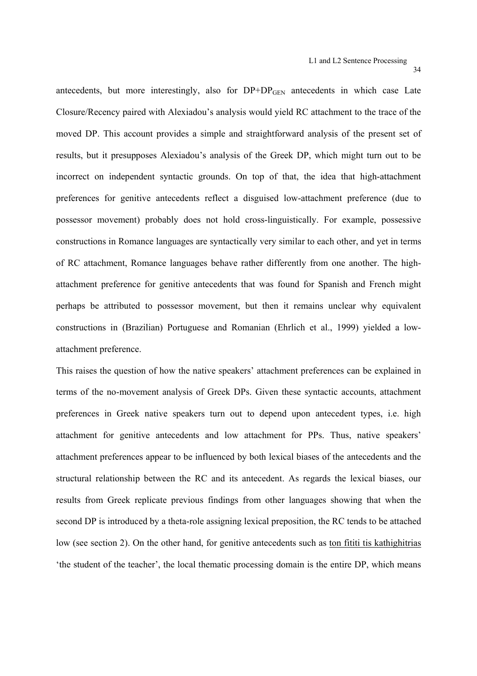antecedents, but more interestingly, also for  $DP+DP<sub>GEN</sub>$  antecedents in which case Late Closure/Recency paired with Alexiadou's analysis would yield RC attachment to the trace of the moved DP. This account provides a simple and straightforward analysis of the present set of results, but it presupposes Alexiadou's analysis of the Greek DP, which might turn out to be incorrect on independent syntactic grounds. On top of that, the idea that high-attachment preferences for genitive antecedents reflect a disguised low-attachment preference (due to possessor movement) probably does not hold cross-linguistically. For example, possessive constructions in Romance languages are syntactically very similar to each other, and yet in terms of RC attachment, Romance languages behave rather differently from one another. The highattachment preference for genitive antecedents that was found for Spanish and French might perhaps be attributed to possessor movement, but then it remains unclear why equivalent constructions in (Brazilian) Portuguese and Romanian (Ehrlich et al., 1999) yielded a lowattachment preference.

This raises the question of how the native speakers' attachment preferences can be explained in terms of the no-movement analysis of Greek DPs. Given these syntactic accounts, attachment preferences in Greek native speakers turn out to depend upon antecedent types, i.e. high attachment for genitive antecedents and low attachment for PPs. Thus, native speakers' attachment preferences appear to be influenced by both lexical biases of the antecedents and the structural relationship between the RC and its antecedent. As regards the lexical biases, our results from Greek replicate previous findings from other languages showing that when the second DP is introduced by a theta-role assigning lexical preposition, the RC tends to be attached low (see section 2). On the other hand, for genitive antecedents such as ton fititi tis kathighitrias 'the student of the teacher', the local thematic processing domain is the entire DP, which means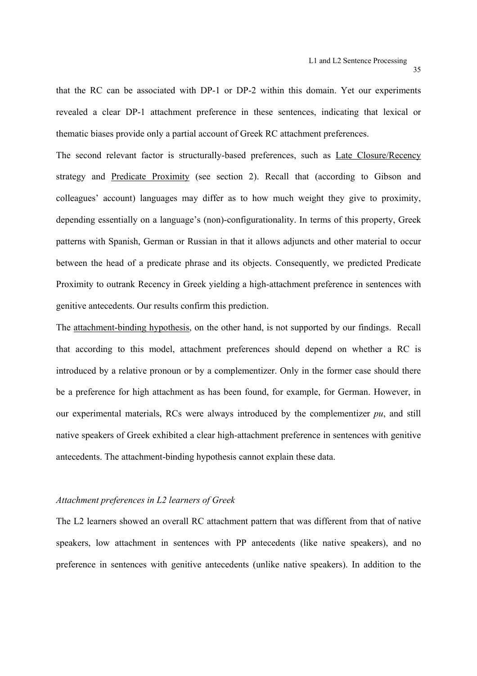that the RC can be associated with DP-1 or DP-2 within this domain. Yet our experiments revealed a clear DP-1 attachment preference in these sentences, indicating that lexical or thematic biases provide only a partial account of Greek RC attachment preferences.

The second relevant factor is structurally-based preferences, such as Late Closure/Recency strategy and Predicate Proximity (see section 2). Recall that (according to Gibson and colleagues' account) languages may differ as to how much weight they give to proximity, depending essentially on a language's (non)-configurationality. In terms of this property, Greek patterns with Spanish, German or Russian in that it allows adjuncts and other material to occur between the head of a predicate phrase and its objects. Consequently, we predicted Predicate Proximity to outrank Recency in Greek yielding a high-attachment preference in sentences with genitive antecedents. Our results confirm this prediction.

The attachment-binding hypothesis, on the other hand, is not supported by our findings. Recall that according to this model, attachment preferences should depend on whether a RC is introduced by a relative pronoun or by a complementizer. Only in the former case should there be a preference for high attachment as has been found, for example, for German. However, in our experimental materials, RCs were always introduced by the complementizer *pu*, and still native speakers of Greek exhibited a clear high-attachment preference in sentences with genitive antecedents. The attachment-binding hypothesis cannot explain these data.

# *Attachment preferences in L2 learners of Greek*

The L2 learners showed an overall RC attachment pattern that was different from that of native speakers, low attachment in sentences with PP antecedents (like native speakers), and no preference in sentences with genitive antecedents (unlike native speakers). In addition to the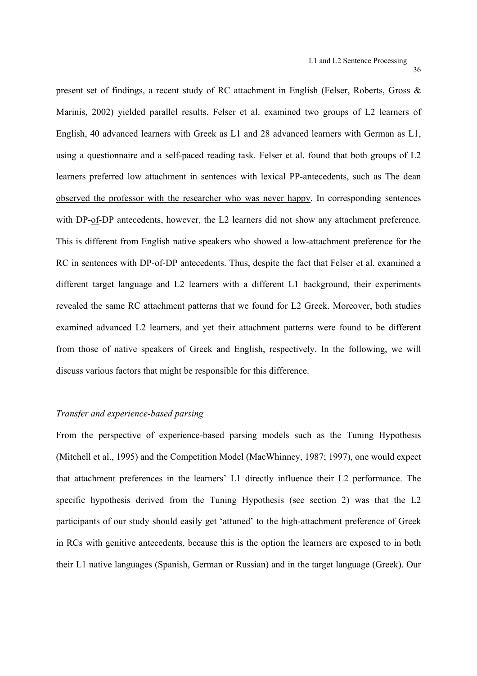present set of findings, a recent study of RC attachment in English (Felser, Roberts, Gross & Marinis, 2002) yielded parallel results. Felser et al. examined two groups of L2 learners of English, 40 advanced learners with Greek as L1 and 28 advanced learners with German as L1, using a questionnaire and a self-paced reading task. Felser et al. found that both groups of L2 learners preferred low attachment in sentences with lexical PP-antecedents, such as The dean observed the professor with the researcher who was never happy. In corresponding sentences with DP-of-DP antecedents, however, the L2 learners did not show any attachment preference. This is different from English native speakers who showed a low-attachment preference for the RC in sentences with DP-of-DP antecedents. Thus, despite the fact that Felser et al. examined a different target language and L2 learners with a different L1 background, their experiments revealed the same RC attachment patterns that we found for L2 Greek. Moreover, both studies examined advanced L2 learners, and yet their attachment patterns were found to be different from those of native speakers of Greek and English, respectively. In the following, we will discuss various factors that might be responsible for this difference.

#### *Transfer and experience-based parsing*

From the perspective of experience-based parsing models such as the Tuning Hypothesis (Mitchell et al., 1995) and the Competition Model (MacWhinney, 1987; 1997), one would expect that attachment preferences in the learners' L1 directly influence their L2 performance. The specific hypothesis derived from the Tuning Hypothesis (see section 2) was that the L2 participants of our study should easily get 'attuned' to the high-attachment preference of Greek in RCs with genitive antecedents, because this is the option the learners are exposed to in both their L1 native languages (Spanish, German or Russian) and in the target language (Greek). Our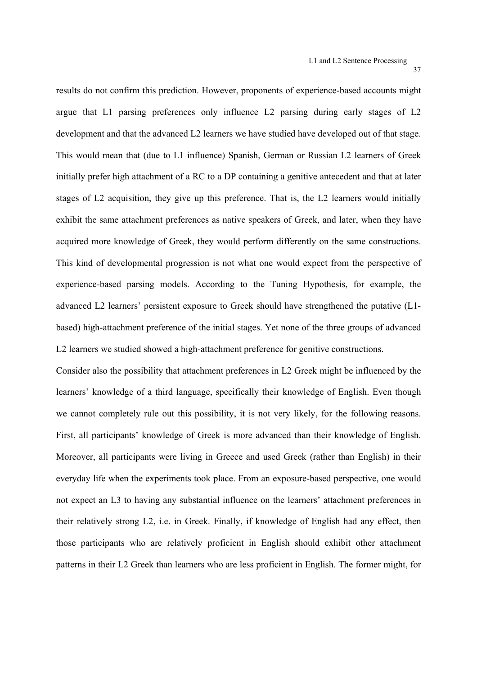results do not confirm this prediction. However, proponents of experience-based accounts might argue that L1 parsing preferences only influence L2 parsing during early stages of L2 development and that the advanced L2 learners we have studied have developed out of that stage. This would mean that (due to L1 influence) Spanish, German or Russian L2 learners of Greek initially prefer high attachment of a RC to a DP containing a genitive antecedent and that at later stages of L2 acquisition, they give up this preference. That is, the L2 learners would initially exhibit the same attachment preferences as native speakers of Greek, and later, when they have acquired more knowledge of Greek, they would perform differently on the same constructions. This kind of developmental progression is not what one would expect from the perspective of experience-based parsing models. According to the Tuning Hypothesis, for example, the advanced L2 learners' persistent exposure to Greek should have strengthened the putative (L1 based) high-attachment preference of the initial stages. Yet none of the three groups of advanced L2 learners we studied showed a high-attachment preference for genitive constructions.

Consider also the possibility that attachment preferences in L2 Greek might be influenced by the learners' knowledge of a third language, specifically their knowledge of English. Even though we cannot completely rule out this possibility, it is not very likely, for the following reasons. First, all participants' knowledge of Greek is more advanced than their knowledge of English. Moreover, all participants were living in Greece and used Greek (rather than English) in their everyday life when the experiments took place. From an exposure-based perspective, one would not expect an L3 to having any substantial influence on the learners' attachment preferences in their relatively strong L2, i.e. in Greek. Finally, if knowledge of English had any effect, then those participants who are relatively proficient in English should exhibit other attachment patterns in their L2 Greek than learners who are less proficient in English. The former might, for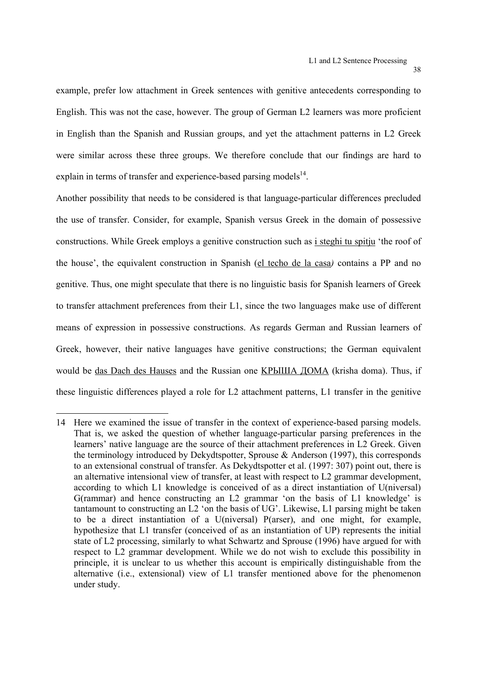example, prefer low attachment in Greek sentences with genitive antecedents corresponding to English. This was not the case, however. The group of German L2 learners was more proficient in English than the Spanish and Russian groups, and yet the attachment patterns in L2 Greek were similar across these three groups. We therefore conclude that our findings are hard to explain in terms of transfer and experience-based parsing models<sup>14</sup>.

Another possibility that needs to be considered is that language-particular differences precluded the use of transfer. Consider, for example, Spanish versus Greek in the domain of possessive constructions. While Greek employs a genitive construction such as i steghi tu spitju 'the roof of the house', the equivalent construction in Spanish (el techo de la casa*)* contains a PP and no genitive. Thus, one might speculate that there is no linguistic basis for Spanish learners of Greek to transfer attachment preferences from their L1, since the two languages make use of different means of expression in possessive constructions. As regards German and Russian learners of Greek, however, their native languages have genitive constructions; the German equivalent would be das Dach des Hauses and the Russian one KΡЫША ДОМА (krisha doma). Thus, if these linguistic differences played a role for L2 attachment patterns, L1 transfer in the genitive

 $\overline{a}$ 

<sup>14</sup> Here we examined the issue of transfer in the context of experience-based parsing models. That is, we asked the question of whether language-particular parsing preferences in the learners' native language are the source of their attachment preferences in L2 Greek. Given the terminology introduced by Dekydtspotter, Sprouse & Anderson (1997), this corresponds to an extensional construal of transfer. As Dekydtspotter et al. (1997: 307) point out, there is an alternative intensional view of transfer, at least with respect to L2 grammar development, according to which L1 knowledge is conceived of as a direct instantiation of U(niversal) G(rammar) and hence constructing an L2 grammar 'on the basis of L1 knowledge' is tantamount to constructing an L2 'on the basis of UG'. Likewise, L1 parsing might be taken to be a direct instantiation of a U(niversal) P(arser), and one might, for example, hypothesize that L1 transfer (conceived of as an instantiation of UP) represents the initial state of L2 processing, similarly to what Schwartz and Sprouse (1996) have argued for with respect to L2 grammar development. While we do not wish to exclude this possibility in principle, it is unclear to us whether this account is empirically distinguishable from the alternative (i.e., extensional) view of L1 transfer mentioned above for the phenomenon under study.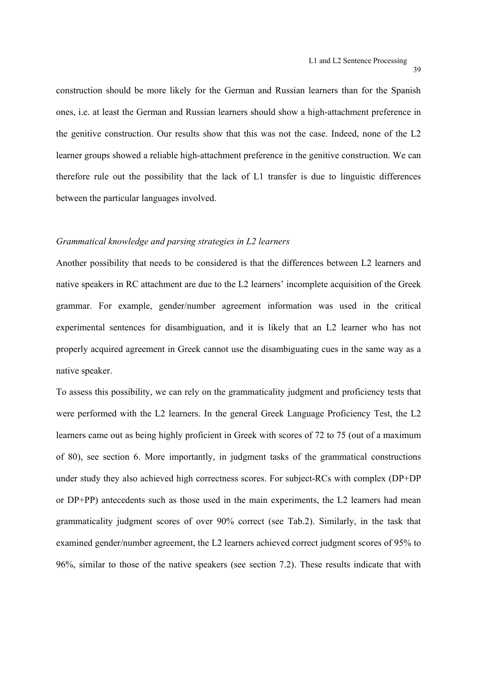construction should be more likely for the German and Russian learners than for the Spanish ones, i.e. at least the German and Russian learners should show a high-attachment preference in the genitive construction. Our results show that this was not the case. Indeed, none of the L2 learner groups showed a reliable high-attachment preference in the genitive construction. We can therefore rule out the possibility that the lack of L1 transfer is due to linguistic differences between the particular languages involved.

# *Grammatical knowledge and parsing strategies in L2 learners*

Another possibility that needs to be considered is that the differences between L2 learners and native speakers in RC attachment are due to the L2 learners' incomplete acquisition of the Greek grammar. For example, gender/number agreement information was used in the critical experimental sentences for disambiguation, and it is likely that an L2 learner who has not properly acquired agreement in Greek cannot use the disambiguating cues in the same way as a native speaker.

To assess this possibility, we can rely on the grammaticality judgment and proficiency tests that were performed with the L2 learners. In the general Greek Language Proficiency Test, the L2 learners came out as being highly proficient in Greek with scores of 72 to 75 (out of a maximum of 80), see section 6. More importantly, in judgment tasks of the grammatical constructions under study they also achieved high correctness scores. For subject-RCs with complex (DP+DP or DP+PP) antecedents such as those used in the main experiments, the L2 learners had mean grammaticality judgment scores of over 90% correct (see Tab.2). Similarly, in the task that examined gender/number agreement, the L2 learners achieved correct judgment scores of 95% to 96%, similar to those of the native speakers (see section 7.2). These results indicate that with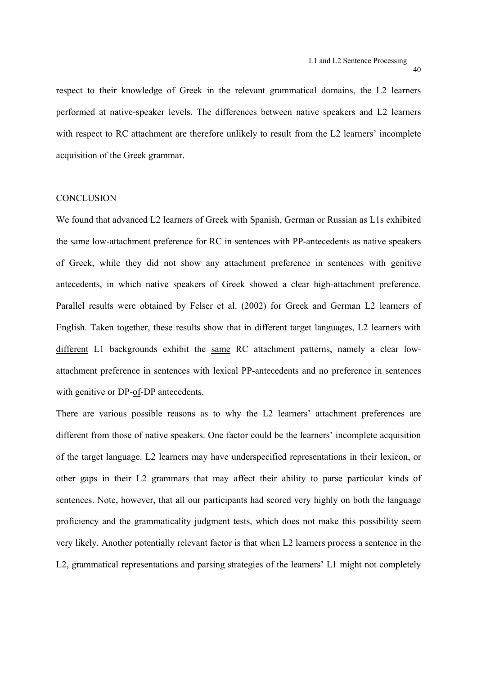respect to their knowledge of Greek in the relevant grammatical domains, the L2 learners performed at native-speaker levels. The differences between native speakers and L2 learners with respect to RC attachment are therefore unlikely to result from the L2 learners' incomplete acquisition of the Greek grammar.

# **CONCLUSION**

We found that advanced L2 learners of Greek with Spanish, German or Russian as L1s exhibited the same low-attachment preference for RC in sentences with PP-antecedents as native speakers of Greek, while they did not show any attachment preference in sentences with genitive antecedents, in which native speakers of Greek showed a clear high-attachment preference. Parallel results were obtained by Felser et al. (2002) for Greek and German L2 learners of English. Taken together, these results show that in different target languages, L2 learners with different L1 backgrounds exhibit the same RC attachment patterns, namely a clear lowattachment preference in sentences with lexical PP-antecedents and no preference in sentences with genitive or DP-of-DP antecedents.

There are various possible reasons as to why the L2 learners' attachment preferences are different from those of native speakers. One factor could be the learners' incomplete acquisition of the target language. L2 learners may have underspecified representations in their lexicon, or other gaps in their L2 grammars that may affect their ability to parse particular kinds of sentences. Note, however, that all our participants had scored very highly on both the language proficiency and the grammaticality judgment tests, which does not make this possibility seem very likely. Another potentially relevant factor is that when L2 learners process a sentence in the L2, grammatical representations and parsing strategies of the learners' L1 might not completely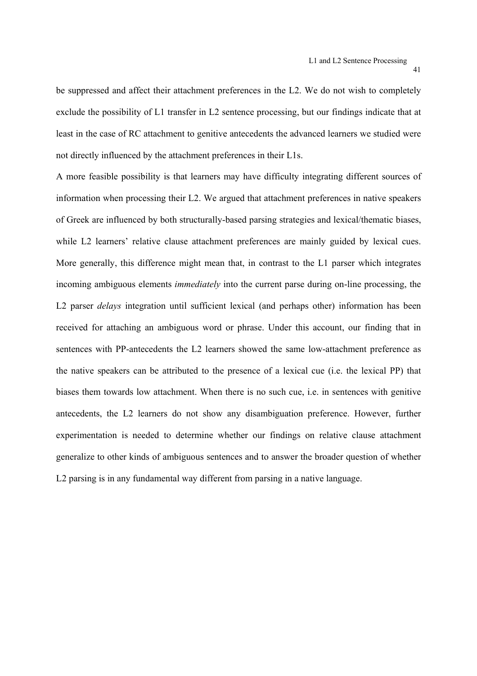be suppressed and affect their attachment preferences in the L2. We do not wish to completely exclude the possibility of L1 transfer in L2 sentence processing, but our findings indicate that at least in the case of RC attachment to genitive antecedents the advanced learners we studied were not directly influenced by the attachment preferences in their L1s.

A more feasible possibility is that learners may have difficulty integrating different sources of information when processing their L2. We argued that attachment preferences in native speakers of Greek are influenced by both structurally-based parsing strategies and lexical/thematic biases, while L2 learners' relative clause attachment preferences are mainly guided by lexical cues. More generally, this difference might mean that, in contrast to the L1 parser which integrates incoming ambiguous elements *immediately* into the current parse during on-line processing, the L2 parser *delays* integration until sufficient lexical (and perhaps other) information has been received for attaching an ambiguous word or phrase. Under this account, our finding that in sentences with PP-antecedents the L2 learners showed the same low-attachment preference as the native speakers can be attributed to the presence of a lexical cue (i.e. the lexical PP) that biases them towards low attachment. When there is no such cue, i.e. in sentences with genitive antecedents, the L2 learners do not show any disambiguation preference. However, further experimentation is needed to determine whether our findings on relative clause attachment generalize to other kinds of ambiguous sentences and to answer the broader question of whether L2 parsing is in any fundamental way different from parsing in a native language.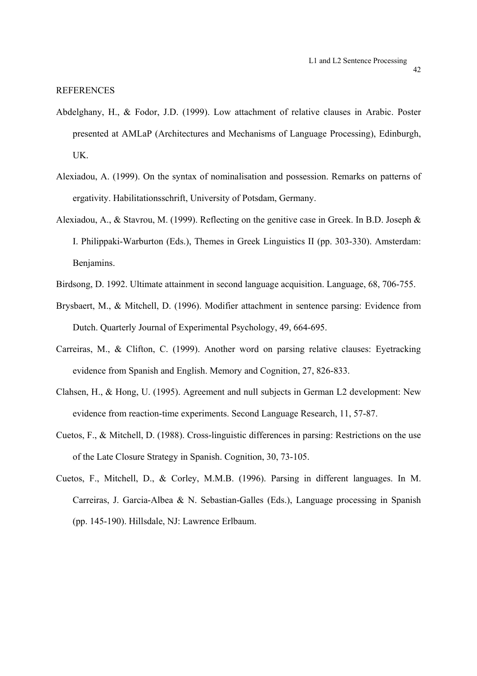#### **REFERENCES**

- Abdelghany, H., & Fodor, J.D. (1999). Low attachment of relative clauses in Arabic. Poster presented at AMLaP (Architectures and Mechanisms of Language Processing), Edinburgh, UK.
- Alexiadou, A. (1999). On the syntax of nominalisation and possession. Remarks on patterns of ergativity. Habilitationsschrift, University of Potsdam, Germany.
- Alexiadou, A., & Stavrou, M. (1999). Reflecting on the genitive case in Greek. In B.D. Joseph & I. Philippaki-Warburton (Eds.), Themes in Greek Linguistics II (pp. 303-330). Amsterdam: Benjamins.
- Birdsong, D. 1992. Ultimate attainment in second language acquisition. Language, 68, 706-755.
- Brysbaert, M., & Mitchell, D. (1996). Modifier attachment in sentence parsing: Evidence from Dutch. Quarterly Journal of Experimental Psychology, 49, 664-695.
- Carreiras, M., & Clifton, C. (1999). Another word on parsing relative clauses: Eyetracking evidence from Spanish and English. Memory and Cognition, 27, 826-833.
- Clahsen, H., & Hong, U. (1995). Agreement and null subjects in German L2 development: New evidence from reaction-time experiments. Second Language Research, 11, 57-87.
- Cuetos, F., & Mitchell, D. (1988). Cross-linguistic differences in parsing: Restrictions on the use of the Late Closure Strategy in Spanish. Cognition, 30, 73-105.
- Cuetos, F., Mitchell, D., & Corley, M.M.B. (1996). Parsing in different languages. In M. Carreiras, J. Garcia-Albea & N. Sebastian-Galles (Eds.), Language processing in Spanish (pp. 145-190). Hillsdale, NJ: Lawrence Erlbaum.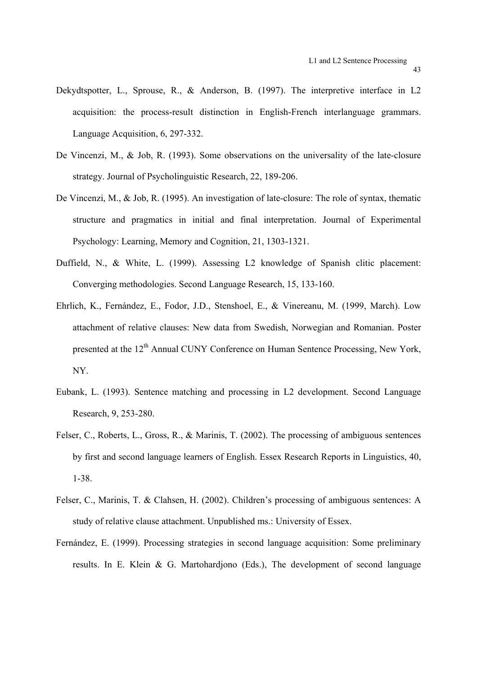- Dekydtspotter, L., Sprouse, R., & Anderson, B. (1997). The interpretive interface in L2 acquisition: the process-result distinction in English-French interlanguage grammars. Language Acquisition, 6, 297-332.
- De Vincenzi, M., & Job, R. (1993). Some observations on the universality of the late-closure strategy. Journal of Psycholinguistic Research, 22, 189-206.
- De Vincenzi, M., & Job, R. (1995). An investigation of late-closure: The role of syntax, thematic structure and pragmatics in initial and final interpretation. Journal of Experimental Psychology: Learning, Memory and Cognition, 21, 1303-1321.
- Duffield, N., & White, L. (1999). Assessing L2 knowledge of Spanish clitic placement: Converging methodologies. Second Language Research, 15, 133-160.
- Ehrlich, K., Fernández, E., Fodor, J.D., Stenshoel, E., & Vinereanu, M. (1999, March). Low attachment of relative clauses: New data from Swedish, Norwegian and Romanian. Poster presented at the 12<sup>th</sup> Annual CUNY Conference on Human Sentence Processing, New York, NY.
- Eubank, L. (1993). Sentence matching and processing in L2 development. Second Language Research, 9, 253-280.
- Felser, C., Roberts, L., Gross, R., & Marinis, T. (2002). The processing of ambiguous sentences by first and second language learners of English. Essex Research Reports in Linguistics, 40, 1-38.
- Felser, C., Marinis, T. & Clahsen, H. (2002). Children's processing of ambiguous sentences: A study of relative clause attachment. Unpublished ms.: University of Essex.
- Fernández, E. (1999). Processing strategies in second language acquisition: Some preliminary results. In E. Klein & G. Martohardjono (Eds.), The development of second language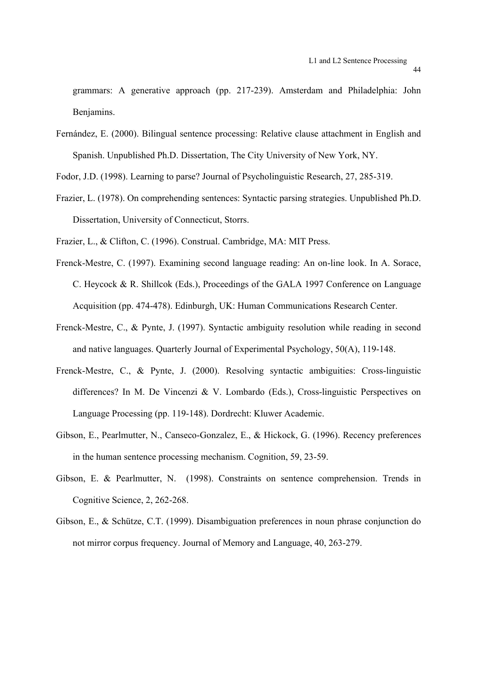grammars: A generative approach (pp. 217-239). Amsterdam and Philadelphia: John Benjamins.

Fernández, E. (2000). Bilingual sentence processing: Relative clause attachment in English and Spanish. Unpublished Ph.D. Dissertation, The City University of New York, NY.

Fodor, J.D. (1998). Learning to parse? Journal of Psycholinguistic Research, 27, 285-319.

Frazier, L. (1978). On comprehending sentences: Syntactic parsing strategies. Unpublished Ph.D. Dissertation, University of Connecticut, Storrs.

Frazier, L., & Clifton, C. (1996). Construal. Cambridge, MA: MIT Press.

- Frenck-Mestre, C. (1997). Examining second language reading: An on-line look. In A. Sorace, C. Heycock & R. Shillcok (Eds.), Proceedings of the GALA 1997 Conference on Language Acquisition (pp. 474-478). Edinburgh, UK: Human Communications Research Center.
- Frenck-Mestre, C., & Pynte, J. (1997). Syntactic ambiguity resolution while reading in second and native languages. Quarterly Journal of Experimental Psychology, 50(A), 119-148.
- Frenck-Mestre, C., & Pynte, J. (2000). Resolving syntactic ambiguities: Cross-linguistic differences? In M. De Vincenzi & V. Lombardo (Eds.), Cross-linguistic Perspectives on Language Processing (pp. 119-148). Dordrecht: Kluwer Academic.
- Gibson, E., Pearlmutter, N., Canseco-Gonzalez, E., & Hickock, G. (1996). Recency preferences in the human sentence processing mechanism. Cognition, 59, 23-59.
- Gibson, E. & Pearlmutter, N. (1998). Constraints on sentence comprehension. Trends in Cognitive Science, 2, 262-268.
- Gibson, E., & Schütze, C.T. (1999). Disambiguation preferences in noun phrase conjunction do not mirror corpus frequency. Journal of Memory and Language, 40, 263-279.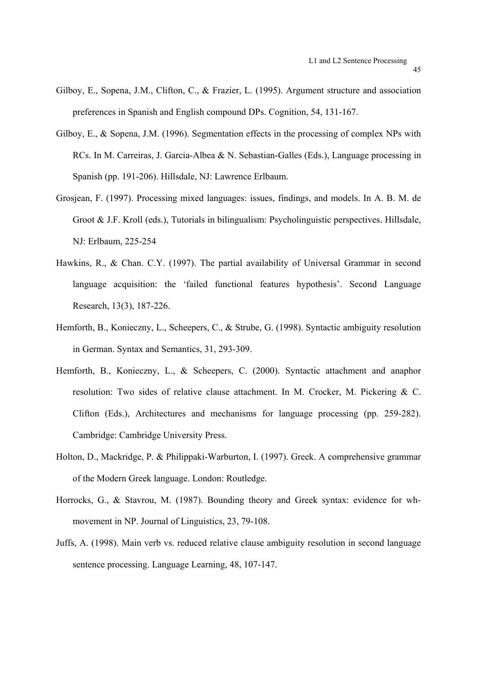- Gilboy, E., Sopena, J.M., Clifton, C., & Frazier, L. (1995). Argument structure and association preferences in Spanish and English compound DPs. Cognition, 54, 131-167.
- Gilboy, E., & Sopena, J.M. (1996). Segmentation effects in the processing of complex NPs with RCs. In M. Carreiras, J. Garcia-Albea & N. Sebastian-Galles (Eds.), Language processing in Spanish (pp. 191-206). Hillsdale, NJ: Lawrence Erlbaum.
- Grosjean, F. (1997). Processing mixed languages: issues, findings, and models. In A. B. M. de Groot & J.F. Kroll (eds.), Tutorials in bilingualism: Psycholinguistic perspectives. Hillsdale, NJ: Erlbaum, 225-254
- Hawkins, R., & Chan. C.Y. (1997). The partial availability of Universal Grammar in second language acquisition: the 'failed functional features hypothesis'. Second Language Research, 13(3), 187-226.
- Hemforth, B., Konieczny, L., Scheepers, C., & Strube, G. (1998). Syntactic ambiguity resolution in German. Syntax and Semantics, 31, 293-309.
- Hemforth, B., Konieczny, L., & Scheepers, C. (2000). Syntactic attachment and anaphor resolution: Two sides of relative clause attachment. In M. Crocker, M. Pickering & C. Clifton (Eds.), Architectures and mechanisms for language processing (pp. 259-282). Cambridge: Cambridge University Press.
- Holton, D., Mackridge, P. & Philippaki-Warburton, I. (1997). Greek. A comprehensive grammar of the Modern Greek language. London: Routledge.
- Horrocks, G., & Stavrou, M. (1987). Bounding theory and Greek syntax: evidence for whmovement in NP. Journal of Linguistics, 23, 79-108.
- Juffs, A. (1998). Main verb vs. reduced relative clause ambiguity resolution in second language sentence processing. Language Learning, 48, 107-147.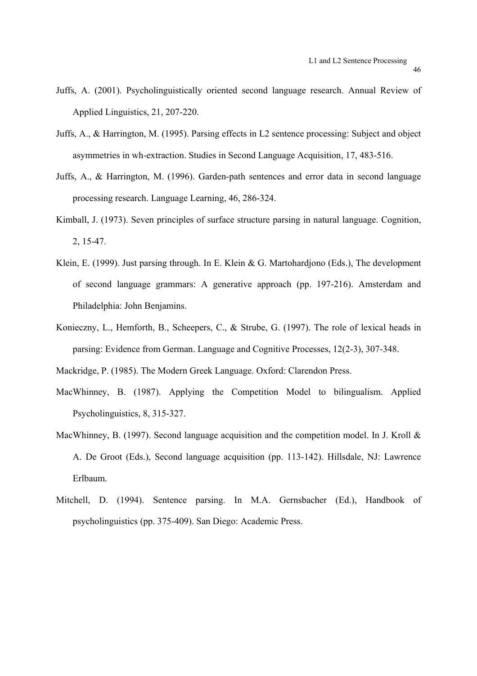- Juffs, A. (2001). Psycholinguistically oriented second language research. Annual Review of Applied Linguistics, 21, 207-220.
- Juffs, A., & Harrington, M. (1995). Parsing effects in L2 sentence processing: Subject and object asymmetries in wh-extraction. Studies in Second Language Acquisition, 17, 483-516.
- Juffs, A., & Harrington, M. (1996). Garden-path sentences and error data in second language processing research. Language Learning, 46, 286-324.
- Kimball, J. (1973). Seven principles of surface structure parsing in natural language. Cognition, 2, 15-47.
- Klein, E. (1999). Just parsing through. In E. Klein & G. Martohardjono (Eds.), The development of second language grammars: A generative approach (pp. 197-216). Amsterdam and Philadelphia: John Benjamins.
- Konieczny, L., Hemforth, B., Scheepers, C., & Strube, G. (1997). The role of lexical heads in parsing: Evidence from German. Language and Cognitive Processes, 12(2-3), 307-348.

Mackridge, P. (1985). The Modern Greek Language. Oxford: Clarendon Press.

- MacWhinney, B. (1987). Applying the Competition Model to bilingualism. Applied Psycholinguistics, 8, 315-327.
- MacWhinney, B. (1997). Second language acquisition and the competition model. In J. Kroll & A. De Groot (Eds.), Second language acquisition (pp. 113-142). Hillsdale, NJ: Lawrence Erlbaum.
- Mitchell, D. (1994). Sentence parsing. In M.A. Gernsbacher (Ed.), Handbook of psycholinguistics (pp. 375-409). San Diego: Academic Press.